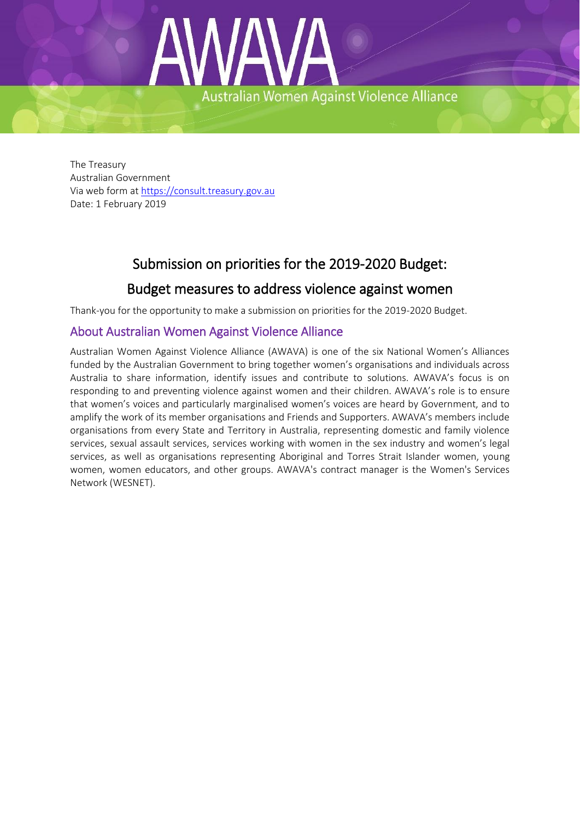

The Treasury Australian Government Via web form at [https://consult.treasury.gov.au](https://consult.treasury.gov.au/) Date: 1 February 2019

# Submission on priorities for the 2019-2020 Budget:

# Budget measures to address violence against women

Thank-you for the opportunity to make a submission on priorities for the 2019-2020 Budget.

## About Australian Women Against Violence Alliance

Australian Women Against Violence Alliance (AWAVA) is one of the six National Women's Alliances funded by the Australian Government to bring together women's organisations and individuals across Australia to share information, identify issues and contribute to solutions. AWAVA's focus is on responding to and preventing violence against women and their children. AWAVA's role is to ensure that women's voices and particularly marginalised women's voices are heard by Government, and to amplify the work of its member organisations and Friends and Supporters. AWAVA's members include organisations from every State and Territory in Australia, representing domestic and family violence services, sexual assault services, services working with women in the sex industry and women's legal services, as well as organisations representing Aboriginal and Torres Strait Islander women, young women, women educators, and other groups. AWAVA's contract manager is the Women's Services Network (WESNET).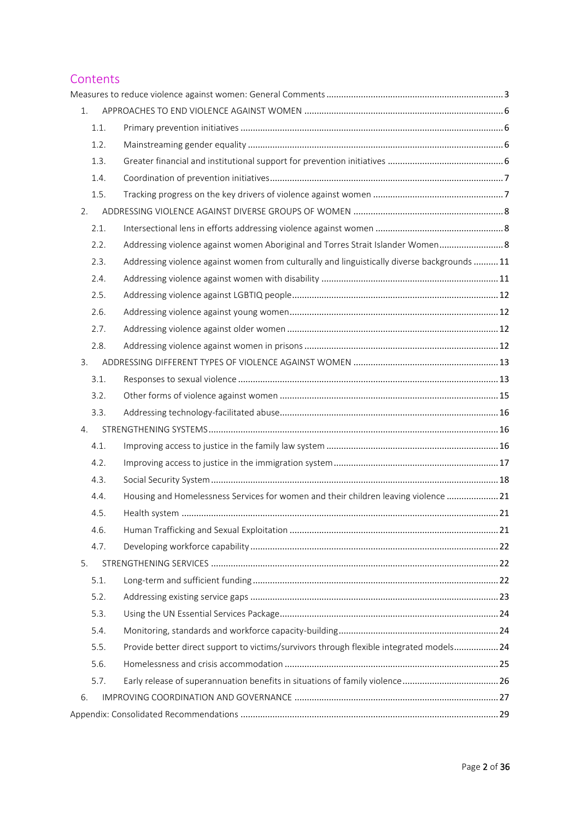## **Contents**

| 1. |      |                                                                                              |  |
|----|------|----------------------------------------------------------------------------------------------|--|
|    | 1.1. |                                                                                              |  |
|    | 1.2. |                                                                                              |  |
|    | 1.3. |                                                                                              |  |
|    | 1.4. |                                                                                              |  |
|    | 1.5. |                                                                                              |  |
| 2. |      |                                                                                              |  |
|    | 2.1. |                                                                                              |  |
|    | 2.2. | Addressing violence against women Aboriginal and Torres Strait Islander Women 8              |  |
|    | 2.3. | Addressing violence against women from culturally and linguistically diverse backgrounds  11 |  |
|    | 2.4. |                                                                                              |  |
|    | 2.5. |                                                                                              |  |
|    | 2.6. |                                                                                              |  |
|    | 2.7. |                                                                                              |  |
|    | 2.8. |                                                                                              |  |
| 3. |      |                                                                                              |  |
|    | 3.1. |                                                                                              |  |
|    | 3.2. |                                                                                              |  |
|    | 3.3. |                                                                                              |  |
| 4. |      |                                                                                              |  |
|    | 4.1. |                                                                                              |  |
|    | 4.2. |                                                                                              |  |
|    | 4.3. |                                                                                              |  |
|    | 4.4. | Housing and Homelessness Services for women and their children leaving violence  21          |  |
|    | 4.5. |                                                                                              |  |
|    | 4.6. |                                                                                              |  |
|    | 4.7. |                                                                                              |  |
| 5. |      |                                                                                              |  |
|    | 5.1. |                                                                                              |  |
|    | 5.2. |                                                                                              |  |
|    | 5.3. |                                                                                              |  |
|    | 5.4. |                                                                                              |  |
|    | 5.5. | Provide better direct support to victims/survivors through flexible integrated models 24     |  |
|    | 5.6. |                                                                                              |  |
|    | 5.7. |                                                                                              |  |
| 6. |      |                                                                                              |  |
|    |      |                                                                                              |  |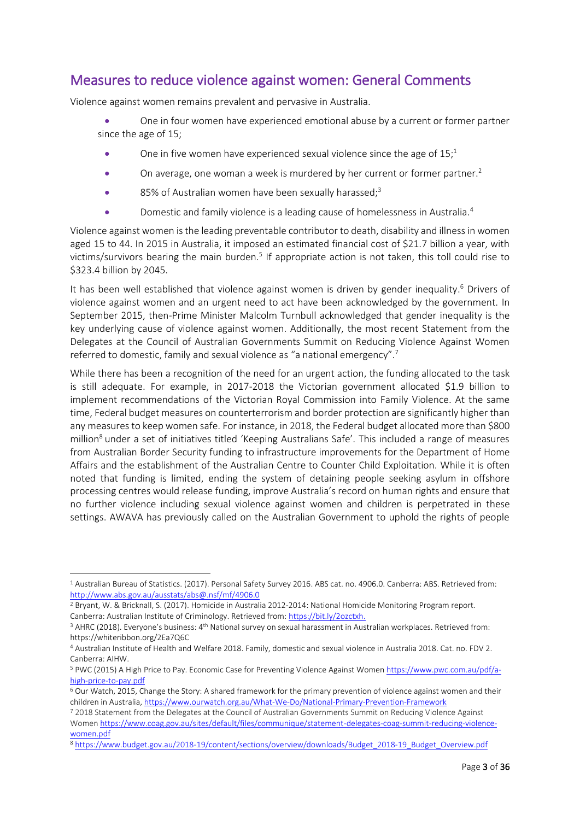# <span id="page-2-0"></span>Measures to reduce violence against women: General Comments

Violence against women remains prevalent and pervasive in Australia.

- One in four women have experienced emotional abuse by a current or former partner since the age of 15;
	- One in five women have experienced sexual violence since the age of  $15<sup>1</sup>$
	- $\bullet$  On average, one woman a week is murdered by her current or former partner.<sup>2</sup>
	- 85% of Australian women have been sexually harassed;<sup>3</sup>
	- **•** Domestic and family violence is a leading cause of homelessness in Australia.<sup>4</sup>

Violence against women is the leading preventable contributor to death, disability and illness in women aged 15 to 44. In 2015 in Australia, it imposed an estimated financial cost of \$21.7 billion a year, with victims/survivors bearing the main burden.<sup>5</sup> If appropriate action is not taken, this toll could rise to \$323.4 billion by 2045.

It has been well established that violence against women is driven by gender inequality.<sup>6</sup> Drivers of violence against women and an urgent need to act have been acknowledged by the government. In September 2015, then-Prime Minister Malcolm Turnbull acknowledged that gender inequality is the key underlying cause of violence against women. Additionally, the most recent Statement from the Delegates at the Council of Australian Governments Summit on Reducing Violence Against Women referred to domestic, family and sexual violence as "a national emergency".<sup>7</sup>

While there has been a recognition of the need for an urgent action, the funding allocated to the task is still adequate. For example, in 2017-2018 the Victorian government allocated \$1.9 billion to implement recommendations of the Victorian Royal Commission into Family Violence. At the same time, Federal budget measures on counterterrorism and border protection are significantly higher than any measures to keep women safe. For instance, in 2018, the Federal budget allocated more than \$800 million<sup>8</sup> under a set of initiatives titled 'Keeping Australians Safe'. This included a range of measures from Australian Border Security funding to infrastructure improvements for the Department of Home Affairs and the establishment of the Australian Centre to Counter Child Exploitation. While it is often noted that funding is limited, ending the system of detaining people seeking asylum in offshore processing centres would release funding, improve Australia's record on human rights and ensure that no further violence including sexual violence against women and children is perpetrated in these settings. AWAVA has previously called on the Australian Government to uphold the rights of people

1

<sup>1</sup> Australian Bureau of Statistics. (2017). Personal Safety Survey 2016. ABS cat. no. 4906.0. Canberra: ABS. Retrieved from: <http://www.abs.gov.au/ausstats/abs@.nsf/mf/4906.0>

<sup>2</sup> Bryant, W. & Bricknall, S. (2017). Homicide in Australia 2012-2014: National Homicide Monitoring Program report. Canberra: Australian Institute of Criminology. Retrieved from[: https://bit.ly/2ozctxh.](https://bit.ly/2ozctxh)

<sup>&</sup>lt;sup>3</sup> AHRC (2018). Everyone's business: 4<sup>th</sup> National survey on sexual harassment in Australian workplaces. Retrieved from: https://whiteribbon.org/2Ea7Q6C

<sup>4</sup> Australian Institute of Health and Welfare 2018. Family, domestic and sexual violence in Australia 2018. Cat. no. FDV 2. Canberra: AIHW.

<sup>5</sup> PWC (2015) A High Price to Pay. Economic Case for Preventing Violence Against Women [https://www.pwc.com.au/pdf/a](https://www.pwc.com.au/pdf/a-high-price-to-pay.pdf)[high-price-to-pay.pdf](https://www.pwc.com.au/pdf/a-high-price-to-pay.pdf)

<sup>6</sup> Our Watch, 2015, Change the Story: A shared framework for the primary prevention of violence against women and their children in Australia[, https://www.ourwatch.org.au/What-We-Do/National-Primary-Prevention-Framework](https://www.ourwatch.org.au/What-We-Do/National-Primary-Prevention-Framework)

<sup>7</sup> 2018 Statement from the Delegates at the Council of Australian Governments Summit on Reducing Violence Against Women [https://www.coag.gov.au/sites/default/files/communique/statement-delegates-coag-summit-reducing-violence](https://www.coag.gov.au/sites/default/files/communique/statement-delegates-coag-summit-reducing-violence-women.pdf)[women.pdf](https://www.coag.gov.au/sites/default/files/communique/statement-delegates-coag-summit-reducing-violence-women.pdf)

<sup>8</sup> [https://www.budget.gov.au/2018-19/content/sections/overview/downloads/Budget\\_2018-19\\_Budget\\_Overview.pdf](https://www.budget.gov.au/2018-19/content/sections/overview/downloads/Budget_2018-19_Budget_Overview.pdf)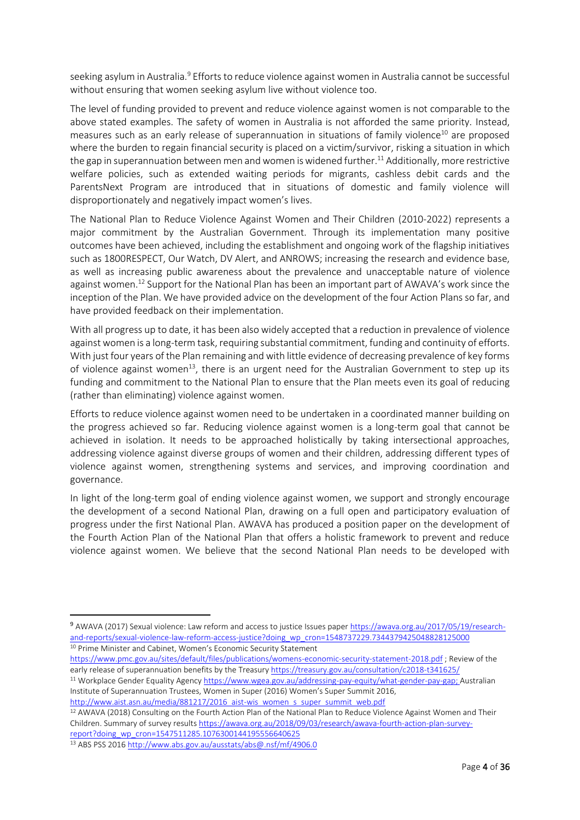seeking asylum in Australia.<sup>9</sup> Efforts to reduce violence against women in Australia cannot be successful without ensuring that women seeking asylum live without violence too.

The level of funding provided to prevent and reduce violence against women is not comparable to the above stated examples. The safety of women in Australia is not afforded the same priority. Instead, measures such as an early release of superannuation in situations of family violence<sup>10</sup> are proposed where the burden to regain financial security is placed on a victim/survivor, risking a situation in which the gap in superannuation between men and women is widened further. <sup>11</sup> Additionally, more restrictive welfare policies, such as extended waiting periods for migrants, cashless debit cards and the ParentsNext Program are introduced that in situations of domestic and family violence will disproportionately and negatively impact women's lives.

The National Plan to Reduce Violence Against Women and Their Children (2010-2022) represents a major commitment by the Australian Government. Through its implementation many positive outcomes have been achieved, including the establishment and ongoing work of the flagship initiatives such as 1800RESPECT, Our Watch, DV Alert, and ANROWS; increasing the research and evidence base, as well as increasing public awareness about the prevalence and unacceptable nature of violence against women.<sup>12</sup> Support for the National Plan has been an important part of AWAVA's work since the inception of the Plan. We have provided advice on the development of the four Action Plans so far, and have provided feedback on their implementation.

With all progress up to date, it has been also widely accepted that a reduction in prevalence of violence against women is a long-term task, requiring substantial commitment, funding and continuity of efforts. With just four years of the Plan remaining and with little evidence of decreasing prevalence of key forms of violence against women<sup>13</sup>, there is an urgent need for the Australian Government to step up its funding and commitment to the National Plan to ensure that the Plan meets even its goal of reducing (rather than eliminating) violence against women.

Efforts to reduce violence against women need to be undertaken in a coordinated manner building on the progress achieved so far. Reducing violence against women is a long-term goal that cannot be achieved in isolation. It needs to be approached holistically by taking intersectional approaches, addressing violence against diverse groups of women and their children, addressing different types of violence against women, strengthening systems and services, and improving coordination and governance.

In light of the long-term goal of ending violence against women, we support and strongly encourage the development of a second National Plan, drawing on a full open and participatory evaluation of progress under the first National Plan. AWAVA has produced a position paper on the development of the Fourth Action Plan of the National Plan that offers a holistic framework to prevent and reduce violence against women. We believe that the second National Plan needs to be developed with

<https://www.pmc.gov.au/sites/default/files/publications/womens-economic-security-statement-2018.pdf> ; Review of the early release of superannuation benefits by the Treasur[y https://treasury.gov.au/consultation/c2018-t341625/](https://treasury.gov.au/consultation/c2018-t341625/)

[http://www.aist.asn.au/media/881217/2016\\_aist-wis\\_women\\_s\\_super\\_summit\\_web.pdf](http://www.aist.asn.au/media/881217/2016_aist-wis_women_s_super_summit_web.pdf)

<sup>12</sup> AWAVA (2018) Consulting on the Fourth Action Plan of the National Plan to Reduce Violence Against Women and Their Children. Summary of survey result[s https://awava.org.au/2018/09/03/research/awava-fourth-action-plan-survey](https://awava.org.au/2018/09/03/research/awava-fourth-action-plan-survey-report?doing_wp_cron=1547511285.1076300144195556640625)[report?doing\\_wp\\_cron=1547511285.1076300144195556640625](https://awava.org.au/2018/09/03/research/awava-fourth-action-plan-survey-report?doing_wp_cron=1547511285.1076300144195556640625)

<sup>13</sup> ABS PSS 201[6 http://www.abs.gov.au/ausstats/abs@.nsf/mf/4906.0](http://www.abs.gov.au/ausstats/abs@.nsf/mf/4906.0)

1

<sup>9</sup> AWAVA (2017) Sexual violence: Law reform and access to justice Issues pape[r https://awava.org.au/2017/05/19/research](https://awava.org.au/2017/05/19/research-and-reports/sexual-violence-law-reform-access-justice?doing_wp_cron=1548737229.7344379425048828125000)[and-reports/sexual-violence-law-reform-access-justice?doing\\_wp\\_cron=1548737229.7344379425048828125000](https://awava.org.au/2017/05/19/research-and-reports/sexual-violence-law-reform-access-justice?doing_wp_cron=1548737229.7344379425048828125000) <sup>10</sup> Prime Minister and Cabinet, Women's Economic Security Statement

<sup>11</sup> Workplace Gender Equality Agenc[y https://www.wgea.gov.au/addressing-pay-equity/what-gender-pay-gap;](https://www.wgea.gov.au/addressing-pay-equity/what-gender-pay-gap) Australian Institute of Superannuation Trustees, Women in Super (2016) Women's Super Summit 2016,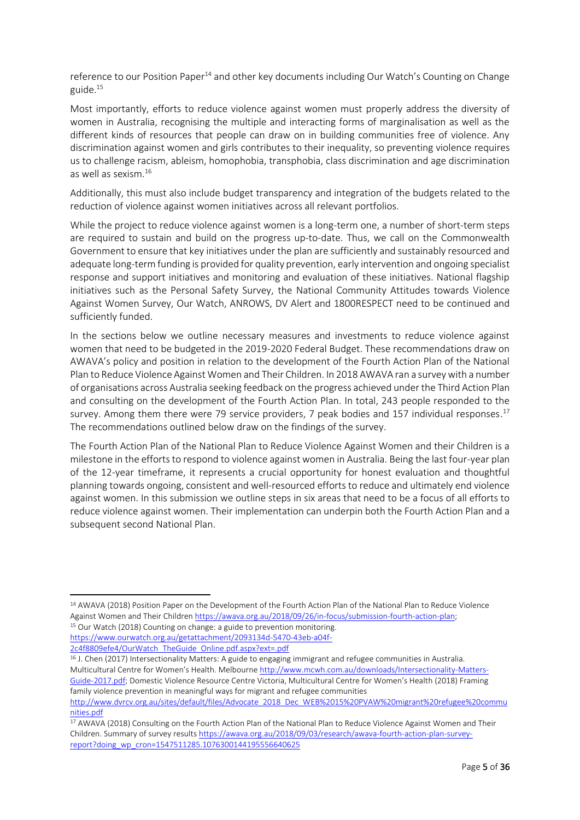reference to our Position Paper<sup>14</sup> and other key documents including Our Watch's Counting on Change guide.<sup>15</sup>

Most importantly, efforts to reduce violence against women must properly address the diversity of women in Australia, recognising the multiple and interacting forms of marginalisation as well as the different kinds of resources that people can draw on in building communities free of violence. Any discrimination against women and girls contributes to their inequality, so preventing violence requires us to challenge racism, ableism, homophobia, transphobia, class discrimination and age discrimination as well as sexism.<sup>16</sup>

Additionally, this must also include budget transparency and integration of the budgets related to the reduction of violence against women initiatives across all relevant portfolios.

While the project to reduce violence against women is a long-term one, a number of short-term steps are required to sustain and build on the progress up-to-date. Thus, we call on the Commonwealth Government to ensure that key initiatives under the plan are sufficiently and sustainably resourced and adequate long-term funding is provided for quality prevention, early intervention and ongoing specialist response and support initiatives and monitoring and evaluation of these initiatives. National flagship initiatives such as the Personal Safety Survey, the National Community Attitudes towards Violence Against Women Survey, Our Watch, ANROWS, DV Alert and 1800RESPECT need to be continued and sufficiently funded.

In the sections below we outline necessary measures and investments to reduce violence against women that need to be budgeted in the 2019-2020 Federal Budget. These recommendations draw on AWAVA's policy and position in relation to the development of the Fourth Action Plan of the National Plan to Reduce Violence Against Women and Their Children. In 2018 AWAVA ran a survey with a number of organisations across Australia seeking feedback on the progress achieved under the Third Action Plan and consulting on the development of the Fourth Action Plan. In total, 243 people responded to the survey. Among them there were 79 service providers, 7 peak bodies and 157 individual responses.<sup>17</sup> The recommendations outlined below draw on the findings of the survey.

The Fourth Action Plan of the National Plan to Reduce Violence Against Women and their Children is a milestone in the efforts to respond to violence against women in Australia. Being the last four-year plan of the 12-year timeframe, it represents a crucial opportunity for honest evaluation and thoughtful planning towards ongoing, consistent and well-resourced efforts to reduce and ultimately end violence against women. In this submission we outline steps in six areas that need to be a focus of all efforts to reduce violence against women. Their implementation can underpin both the Fourth Action Plan and a subsequent second National Plan.

**.** 

<sup>14</sup> AWAVA (2018) Position Paper on the Development of the Fourth Action Plan of the National Plan to Reduce Violence Against Women and Their Childre[n https://awava.org.au/2018/09/26/in-focus/submission-fourth-action-plan;](https://awava.org.au/2018/09/26/in-focus/submission-fourth-action-plan) <sup>15</sup> Our Watch (2018) Counting on change: a guide to prevention monitoring. [https://www.ourwatch.org.au/getattachment/2093134d-5470-43eb-a04f-](https://www.ourwatch.org.au/getattachment/2093134d-5470-43eb-a04f-2c4f8809efe4/OurWatch_TheGuide_Online.pdf.aspx?ext=.pdf)

[<sup>2</sup>c4f8809efe4/OurWatch\\_TheGuide\\_Online.pdf.aspx?ext=.pdf](https://www.ourwatch.org.au/getattachment/2093134d-5470-43eb-a04f-2c4f8809efe4/OurWatch_TheGuide_Online.pdf.aspx?ext=.pdf)

<sup>16</sup> J. Chen (2017) Intersectionality Matters: A guide to engaging immigrant and refugee communities in Australia. Multicultural Centre for Women's Health. Melbourne [http://www.mcwh.com.au/downloads/Intersectionality-Matters-](http://www.mcwh.com.au/downloads/Intersectionality-Matters-Guide-2017.pdf)[Guide-2017.pdf](http://www.mcwh.com.au/downloads/Intersectionality-Matters-Guide-2017.pdf); Domestic Violence Resource Centre Victoria, Multicultural Centre for Women's Health (2018) Framing family violence prevention in meaningful ways for migrant and refugee communities

[http://www.dvrcv.org.au/sites/default/files/Advocate\\_2018\\_Dec\\_WEB%2015%20PVAW%20migrant%20refugee%20commu](http://www.dvrcv.org.au/sites/default/files/Advocate_2018_Dec_WEB%2015%20PVAW%20migrant%20refugee%20communities.pdf) [nities.pdf](http://www.dvrcv.org.au/sites/default/files/Advocate_2018_Dec_WEB%2015%20PVAW%20migrant%20refugee%20communities.pdf) 

<sup>&</sup>lt;sup>17</sup> AWAVA (2018) Consulting on the Fourth Action Plan of the National Plan to Reduce Violence Against Women and Their Children. Summary of survey result[s https://awava.org.au/2018/09/03/research/awava-fourth-action-plan-survey](https://awava.org.au/2018/09/03/research/awava-fourth-action-plan-survey-report?doing_wp_cron=1547511285.1076300144195556640625)[report?doing\\_wp\\_cron=1547511285.1076300144195556640625](https://awava.org.au/2018/09/03/research/awava-fourth-action-plan-survey-report?doing_wp_cron=1547511285.1076300144195556640625)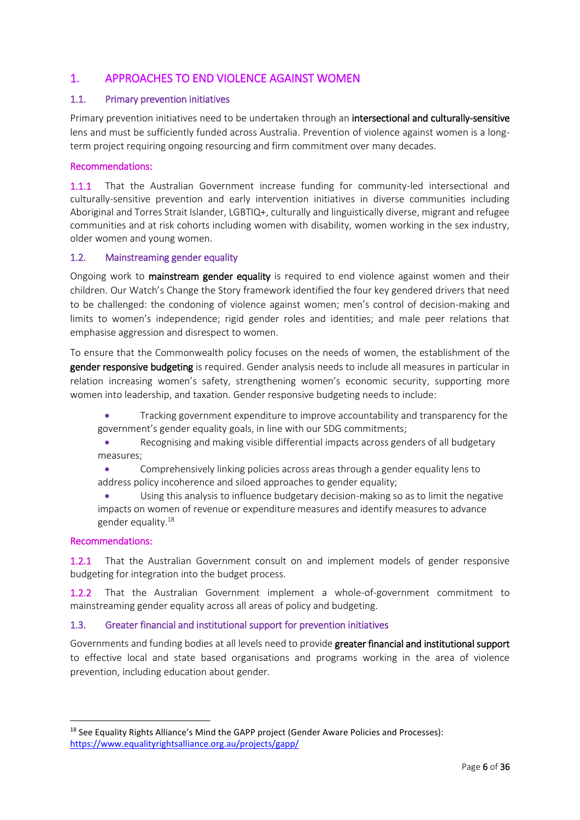## <span id="page-5-0"></span>1. APPROACHES TO END VIOLENCE AGAINST WOMEN

### <span id="page-5-1"></span>1.1. Primary prevention initiatives

Primary prevention initiatives need to be undertaken through an intersectional and culturally-sensitive lens and must be sufficiently funded across Australia. Prevention of violence against women is a longterm project requiring ongoing resourcing and firm commitment over many decades.

### Recommendations:

1.1.1 That the Australian Government increase funding for community-led intersectional and culturally-sensitive prevention and early intervention initiatives in diverse communities including Aboriginal and Torres Strait Islander, LGBTIQ+, culturally and linguistically diverse, migrant and refugee communities and at risk cohorts including women with disability, women working in the sex industry, older women and young women.

### <span id="page-5-2"></span>1.2. Mainstreaming gender equality

Ongoing work to mainstream gender equality is required to end violence against women and their children. Our Watch's Change the Story framework identified the four key gendered drivers that need to be challenged: the condoning of violence against women; men's control of decision-making and limits to women's independence; rigid gender roles and identities; and male peer relations that emphasise aggression and disrespect to women.

To ensure that the Commonwealth policy focuses on the needs of women, the establishment of the gender responsive budgeting is required. Gender analysis needs to include all measures in particular in relation increasing women's safety, strengthening women's economic security, supporting more women into leadership, and taxation. Gender responsive budgeting needs to include:

 Tracking government expenditure to improve accountability and transparency for the government's gender equality goals, in line with our SDG commitments;

 Recognising and making visible differential impacts across genders of all budgetary measures;

 Comprehensively linking policies across areas through a gender equality lens to address policy incoherence and siloed approaches to gender equality;

 Using this analysis to influence budgetary decision-making so as to limit the negative impacts on women of revenue or expenditure measures and identify measures to advance gender equality. 18

#### Recommendations:

**.** 

1.2.1 That the Australian Government consult on and implement models of gender responsive budgeting for integration into the budget process.

1.2.2 That the Australian Government implement a whole-of-government commitment to mainstreaming gender equality across all areas of policy and budgeting.

### <span id="page-5-3"></span>1.3. Greater financial and institutional support for prevention initiatives

Governments and funding bodies at all levels need to provide greater financial and institutional support to effective local and state based organisations and programs working in the area of violence prevention, including education about gender.

<sup>&</sup>lt;sup>18</sup> See Equality Rights Alliance's Mind the GAPP project (Gender Aware Policies and Processes): <https://www.equalityrightsalliance.org.au/projects/gapp/>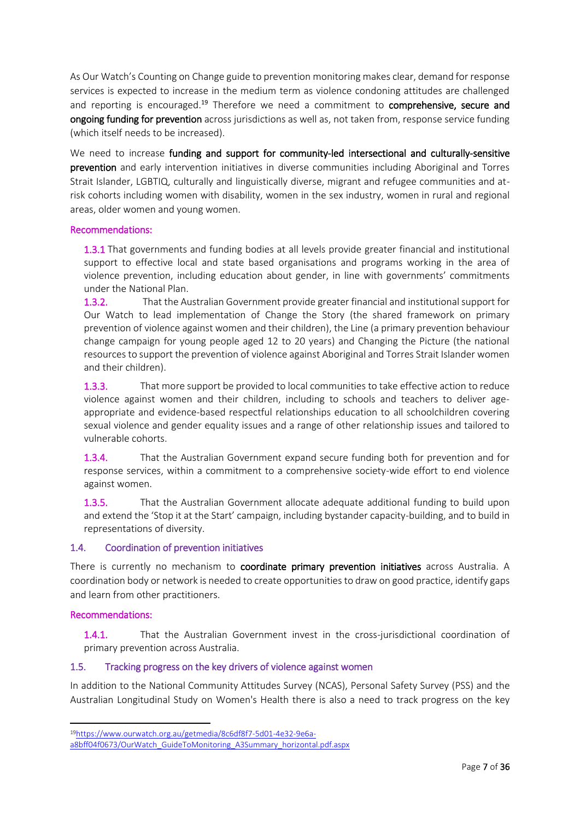As Our Watch's Counting on Change guide to prevention monitoring makes clear, demand for response services is expected to increase in the medium term as violence condoning attitudes are challenged and reporting is encouraged.<sup>19</sup> Therefore we need a commitment to **comprehensive, secure and** ongoing funding for prevention across jurisdictions as well as, not taken from, response service funding (which itself needs to be increased).

We need to increase funding and support for community-led intersectional and culturally-sensitive prevention and early intervention initiatives in diverse communities including Aboriginal and Torres Strait Islander, LGBTIQ, culturally and linguistically diverse, migrant and refugee communities and atrisk cohorts including women with disability, women in the sex industry, women in rural and regional areas, older women and young women.

### Recommendations:

1.3.1 That governments and funding bodies at all levels provide greater financial and institutional support to effective local and state based organisations and programs working in the area of violence prevention, including education about gender, in line with governments' commitments under the National Plan.

1.3.2. That the Australian Government provide greater financial and institutional support for Our Watch to lead implementation of Change the Story (the shared framework on primary prevention of violence against women and their children), the Line (a primary prevention behaviour change campaign for young people aged 12 to 20 years) and Changing the Picture (the national resources to support the prevention of violence against Aboriginal and Torres Strait Islander women and their children).

1.3.3. That more support be provided to local communities to take effective action to reduce violence against women and their children, including to schools and teachers to deliver ageappropriate and evidence-based respectful relationships education to all schoolchildren covering sexual violence and gender equality issues and a range of other relationship issues and tailored to vulnerable cohorts.

1.3.4. That the Australian Government expand secure funding both for prevention and for response services, within a commitment to a comprehensive society-wide effort to end violence against women.

1.3.5. That the Australian Government allocate adequate additional funding to build upon and extend the 'Stop it at the Start' campaign, including bystander capacity-building, and to build in representations of diversity.

### <span id="page-6-0"></span>1.4. Coordination of prevention initiatives

There is currently no mechanism to coordinate primary prevention initiatives across Australia. A coordination body or network is needed to create opportunities to draw on good practice, identify gaps and learn from other practitioners.

### Recommendations:

**.** 

1.4.1. That the Australian Government invest in the cross-jurisdictional coordination of primary prevention across Australia.

### <span id="page-6-1"></span>1.5. Tracking progress on the key drivers of violence against women

In addition to the National Community Attitudes Survey (NCAS), Personal Safety Survey (PSS) and the Australian Longitudinal Study on Women's Health there is also a need to track progress on the key

<sup>19</sup>[https://www.ourwatch.org.au/getmedia/8c6df8f7-5d01-4e32-9e6a-](https://www.ourwatch.org.au/getmedia/8c6df8f7-5d01-4e32-9e6a-a8bff04f0673/OurWatch_GuideToMonitoring_A3Summary_horizontal.pdf.aspx)

[a8bff04f0673/OurWatch\\_GuideToMonitoring\\_A3Summary\\_horizontal.pdf.aspx](https://www.ourwatch.org.au/getmedia/8c6df8f7-5d01-4e32-9e6a-a8bff04f0673/OurWatch_GuideToMonitoring_A3Summary_horizontal.pdf.aspx)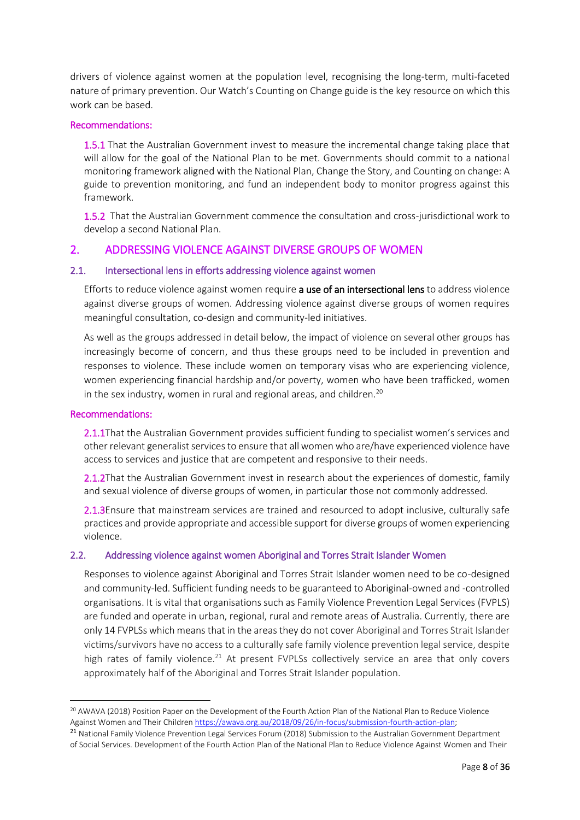drivers of violence against women at the population level, recognising the long-term, multi-faceted nature of primary prevention. Our Watch's Counting on Change guide is the key resource on which this work can be based.

#### Recommendations:

1.5.1 That the Australian Government invest to measure the incremental change taking place that will allow for the goal of the National Plan to be met. Governments should commit to a national monitoring framework aligned with the National Plan, Change the Story, and Counting on change: A guide to prevention monitoring, and fund an independent body to monitor progress against this framework.

1.5.2 That the Australian Government commence the consultation and cross-jurisdictional work to develop a second National Plan.

### <span id="page-7-0"></span>2. ADDRESSING VIOLENCE AGAINST DIVERSE GROUPS OF WOMEN

#### <span id="page-7-1"></span>2.1. Intersectional lens in efforts addressing violence against women

Efforts to reduce violence against women require **a use of an intersectional lens** to address violence against diverse groups of women. Addressing violence against diverse groups of women requires meaningful consultation, co-design and community-led initiatives.

As well as the groups addressed in detail below, the impact of violence on several other groups has increasingly become of concern, and thus these groups need to be included in prevention and responses to violence. These include women on temporary visas who are experiencing violence, women experiencing financial hardship and/or poverty, women who have been trafficked, women in the sex industry, women in rural and regional areas, and children.<sup>20</sup>

#### Recommendations:

**.** 

2.1.1That the Australian Government provides sufficient funding to specialist women's services and other relevant generalist services to ensure that all women who are/have experienced violence have access to services and justice that are competent and responsive to their needs.

2.1.2That the Australian Government invest in research about the experiences of domestic, family and sexual violence of diverse groups of women, in particular those not commonly addressed.

2.1.3Ensure that mainstream services are trained and resourced to adopt inclusive, culturally safe practices and provide appropriate and accessible support for diverse groups of women experiencing violence.

#### <span id="page-7-2"></span>2.2. Addressing violence against women Aboriginal and Torres Strait Islander Women

Responses to violence against Aboriginal and Torres Strait Islander women need to be co-designed and community-led. Sufficient funding needs to be guaranteed to Aboriginal-owned and -controlled organisations. It is vital that organisations such as Family Violence Prevention Legal Services (FVPLS) are funded and operate in urban, regional, rural and remote areas of Australia. Currently, there are only 14 FVPLSs which means that in the areas they do not cover Aboriginal and Torres Strait Islander victims/survivors have no access to a culturally safe family violence prevention legal service, despite high rates of family violence.<sup>21</sup> At present FVPLSs collectively service an area that only covers approximately half of the Aboriginal and Torres Strait Islander population.

<sup>20</sup> AWAVA (2018) Position Paper on the Development of the Fourth Action Plan of the National Plan to Reduce Violence Against Women and Their Childre[n https://awava.org.au/2018/09/26/in-focus/submission-fourth-action-plan;](https://awava.org.au/2018/09/26/in-focus/submission-fourth-action-plan)

<sup>&</sup>lt;sup>21</sup> National Family Violence Prevention Legal Services Forum (2018) Submission to the Australian Government Department of Social Services. Development of the Fourth Action Plan of the National Plan to Reduce Violence Against Women and Their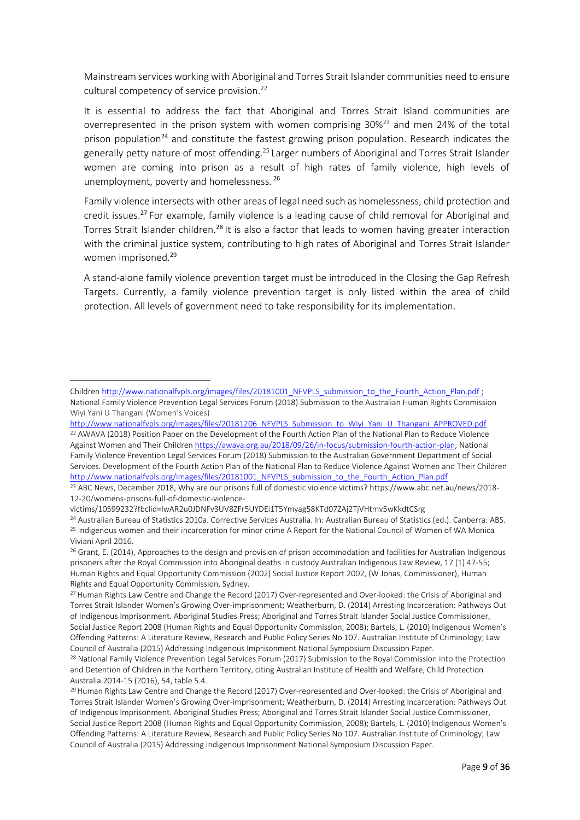Mainstream services working with Aboriginal and Torres Strait Islander communities need to ensure cultural competency of service provision.<sup>22</sup>

It is essential to address the fact that Aboriginal and Torres Strait Island communities are overrepresented in the prison system with women comprising 30%<sup>23</sup> and men 24% of the total prison population<sup>24</sup> and constitute the fastest growing prison population. Research indicates the generally petty nature of most offending.<sup>25</sup> Larger numbers of Aboriginal and Torres Strait Islander women are coming into prison as a result of high rates of family violence, high levels of unemployment, poverty and homelessness. <sup>26</sup>

Family violence intersects with other areas of legal need such as homelessness, child protection and credit issues.<sup>27</sup> For example, family violence is a leading cause of child removal for Aboriginal and Torres Strait Islander children.<sup>28</sup> It is also a factor that leads to women having greater interaction with the criminal justice system, contributing to high rates of Aboriginal and Torres Strait Islander women imprisoned.<sup>29</sup>

A stand-alone family violence prevention target must be introduced in the Closing the Gap Refresh Targets. Currently, a family violence prevention target is only listed within the area of child protection. All levels of government need to take responsibility for its implementation.

**.** 

Childre[n http://www.nationalfvpls.org/images/files/20181001\\_NFVPLS\\_submission\\_to\\_the\\_Fourth\\_Action\\_Plan.pdf](http://www.nationalfvpls.org/images/files/20181001_NFVPLS_submission_to_the_Fourth_Action_Plan.pdf) ; National Family Violence Prevention Legal Services Forum (2018) Submission to the Australian Human Rights Commission Wiyi Yani U Thangani (Women's Voices)

[http://www.nationalfvpls.org/images/files/20181206\\_NFVPLS\\_Submission\\_to\\_Wiyi\\_Yani\\_U\\_Thangani\\_APPROVED.pdf](http://www.nationalfvpls.org/images/files/20181206_NFVPLS_Submission_to_Wiyi_Yani_U_Thangani_APPROVED.pdf) <sup>22</sup> AWAVA (2018) Position Paper on the Development of the Fourth Action Plan of the National Plan to Reduce Violence Against Women and Their Childre[n https://awava.org.au/2018/09/26/in-focus/submission-fourth-action-plan;](https://awava.org.au/2018/09/26/in-focus/submission-fourth-action-plan) National Family Violence Prevention Legal Services Forum (2018) Submission to the Australian Government Department of Social Services. Development of the Fourth Action Plan of the National Plan to Reduce Violence Against Women and Their Children [http://www.nationalfvpls.org/images/files/20181001\\_NFVPLS\\_submission\\_to\\_the\\_Fourth\\_Action\\_Plan.pdf](http://www.nationalfvpls.org/images/files/20181001_NFVPLS_submission_to_the_Fourth_Action_Plan.pdf)

<sup>&</sup>lt;sup>23</sup> ABC News, December 2018, Why are our prisons full of domestic violence victims? https://www.abc.net.au/news/2018-12-20/womens-prisons-full-of-domestic-violence-

victims/10599232?fbclid=IwAR2u0JDNFv3UV8ZFr5UYDEi1T5Ymyag58KTd07ZAj2TjVHtmv5wKkdtCSrg

<sup>24</sup> Australian Bureau of Statistics 2010a. Corrective Services Australia. In: Australian Bureau of Statistics (ed.). Canberra: ABS. <sup>25</sup> Indigenous women and their incarceration for minor crime A Report for the National Council of Women of WA Monica Viviani April 2016.

<sup>&</sup>lt;sup>26</sup> Grant, E. (2014), Approaches to the design and provision of prison accommodation and facilities for Australian Indigenous prisoners after the Royal Commission into Aboriginal deaths in custody Australian Indigenous Law Review, 17 (1) 47-55; Human Rights and Equal Opportunity Commission (2002) Social Justice Report 2002, (W Jonas, Commissioner), Human Rights and Equal Opportunity Commission, Sydney.

<sup>&</sup>lt;sup>27</sup> Human Rights Law Centre and Change the Record (2017) Over-represented and Over-looked: the Crisis of Aboriginal and Torres Strait Islander Women's Growing Over-imprisonment; Weatherburn, D. (2014) Arresting Incarceration: Pathways Out of Indigenous Imprisonment. Aboriginal Studies Press; Aboriginal and Torres Strait Islander Social Justice Commissioner, Social Justice Report 2008 (Human Rights and Equal Opportunity Commission, 2008); Bartels, L. (2010) Indigenous Women's Offending Patterns: A Literature Review, Research and Public Policy Series No 107. Australian Institute of Criminology; Law Council of Australia (2015) Addressing Indigenous Imprisonment National Symposium Discussion Paper.

<sup>&</sup>lt;sup>28</sup> National Family Violence Prevention Legal Services Forum (2017) Submission to the Royal Commission into the Protection and Detention of Children in the Northern Territory, citing Australian Institute of Health and Welfare, Child Protection Australia 2014-15 (2016), 54, table 5.4.

 $29$  Human Rights Law Centre and Change the Record (2017) Over-represented and Over-looked: the Crisis of Aboriginal and Torres Strait Islander Women's Growing Over-imprisonment; Weatherburn, D. (2014) Arresting Incarceration: Pathways Out of Indigenous Imprisonment. Aboriginal Studies Press; Aboriginal and Torres Strait Islander Social Justice Commissioner, Social Justice Report 2008 (Human Rights and Equal Opportunity Commission, 2008); Bartels, L. (2010) Indigenous Women's Offending Patterns: A Literature Review, Research and Public Policy Series No 107. Australian Institute of Criminology; Law Council of Australia (2015) Addressing Indigenous Imprisonment National Symposium Discussion Paper.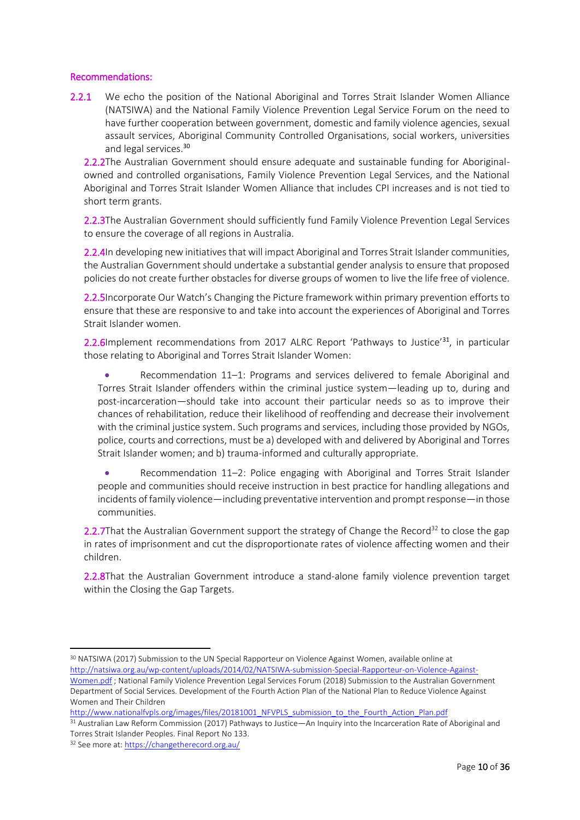### Recommendations:

2.2.1 We echo the position of the National Aboriginal and Torres Strait Islander Women Alliance (NATSIWA) and the National Family Violence Prevention Legal Service Forum on the need to have further cooperation between government, domestic and family violence agencies, sexual assault services, Aboriginal Community Controlled Organisations, social workers, universities and legal services.<sup>30</sup>

2.2.2The Australian Government should ensure adequate and sustainable funding for Aboriginalowned and controlled organisations, Family Violence Prevention Legal Services, and the National Aboriginal and Torres Strait Islander Women Alliance that includes CPI increases and is not tied to short term grants.

2.2.3The Australian Government should sufficiently fund Family Violence Prevention Legal Services to ensure the coverage of all regions in Australia.

2.2.4In developing new initiatives that will impact Aboriginal and Torres Strait Islander communities, the Australian Government should undertake a substantial gender analysis to ensure that proposed policies do not create further obstacles for diverse groups of women to live the life free of violence.

2.2.5Incorporate Our Watch's Changing the Picture framework within primary prevention efforts to ensure that these are responsive to and take into account the experiences of Aboriginal and Torres Strait Islander women.

2.2.6Implement recommendations from 2017 ALRC Report 'Pathways to Justice'<sup>31</sup>, in particular those relating to Aboriginal and Torres Strait Islander Women:

 Recommendation 11–1: Programs and services delivered to female Aboriginal and Torres Strait Islander offenders within the criminal justice system—leading up to, during and post-incarceration—should take into account their particular needs so as to improve their chances of rehabilitation, reduce their likelihood of reoffending and decrease their involvement with the criminal justice system. Such programs and services, including those provided by NGOs, police, courts and corrections, must be a) developed with and delivered by Aboriginal and Torres Strait Islander women; and b) trauma-informed and culturally appropriate.

 Recommendation 11–2: Police engaging with Aboriginal and Torres Strait Islander people and communities should receive instruction in best practice for handling allegations and incidents of family violence—including preventative intervention and prompt response—in those communities.

2.2.7That the Australian Government support the strategy of Change the Record<sup>32</sup> to close the gap in rates of imprisonment and cut the disproportionate rates of violence affecting women and their children.

2.2.8That the Australian Government introduce a stand-alone family violence prevention target within the Closing the Gap Targets.

<sup>30</sup> NATSIWA (2017) Submission to the UN Special Rapporteur on Violence Against Women, available online at [http://natsiwa.org.au/wp-content/uploads/2014/02/NATSIWA-submission-Special-Rapporteur-on-Violence-Against-](http://natsiwa.org.au/wp-content/uploads/2014/02/NATSIWA-submission-Special-Rapporteur-on-Violence-Against-Women.pdf)[Women.pdf](http://natsiwa.org.au/wp-content/uploads/2014/02/NATSIWA-submission-Special-Rapporteur-on-Violence-Against-Women.pdf) ; National Family Violence Prevention Legal Services Forum (2018) Submission to the Australian Government

[http://www.nationalfvpls.org/images/files/20181001\\_NFVPLS\\_submission\\_to\\_the\\_Fourth\\_Action\\_Plan.pdf](http://www.nationalfvpls.org/images/files/20181001_NFVPLS_submission_to_the_Fourth_Action_Plan.pdf)

<sup>31</sup> Australian Law Reform Commission (2017) Pathways to Justice—An Inquiry into the Incarceration Rate of Aboriginal and Torres Strait Islander Peoples. Final Report No 133.

**.** 

Department of Social Services. Development of the Fourth Action Plan of the National Plan to Reduce Violence Against Women and Their Children

<sup>32</sup> See more at:<https://changetherecord.org.au/>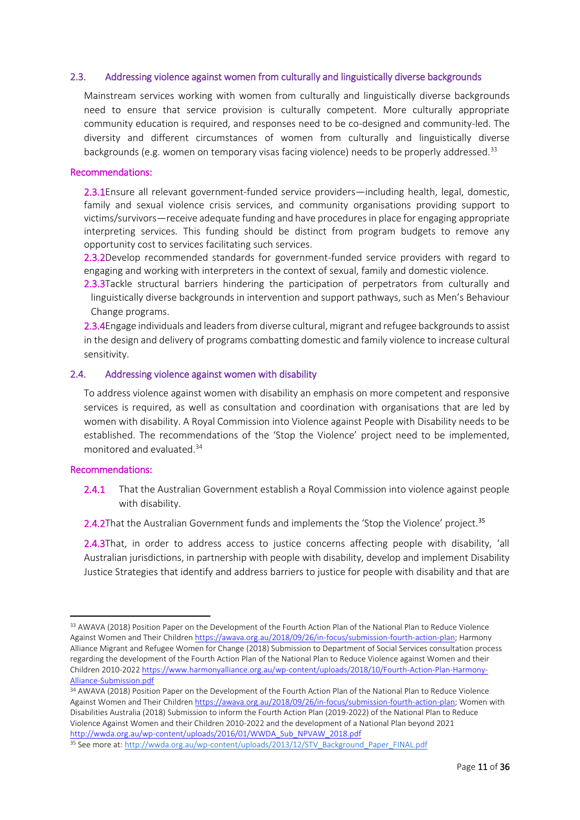#### <span id="page-10-0"></span>2.3. Addressing violence against women from culturally and linguistically diverse backgrounds

Mainstream services working with women from culturally and linguistically diverse backgrounds need to ensure that service provision is culturally competent. More culturally appropriate community education is required, and responses need to be co-designed and community-led. The diversity and different circumstances of women from culturally and linguistically diverse backgrounds (e.g. women on temporary visas facing violence) needs to be properly addressed.<sup>33</sup>

#### Recommendations:

2.3.1Ensure all relevant government-funded service providers—including health, legal, domestic, family and sexual violence crisis services, and community organisations providing support to victims/survivors—receive adequate funding and have procedures in place for engaging appropriate interpreting services. This funding should be distinct from program budgets to remove any opportunity cost to services facilitating such services.

2.3.2Develop recommended standards for government-funded service providers with regard to engaging and working with interpreters in the context of sexual, family and domestic violence.

2.3.3Tackle structural barriers hindering the participation of perpetrators from culturally and linguistically diverse backgrounds in intervention and support pathways, such as Men's Behaviour Change programs.

2.3.4Engage individuals and leaders from diverse cultural, migrant and refugee backgrounds to assist in the design and delivery of programs combatting domestic and family violence to increase cultural sensitivity.

#### <span id="page-10-1"></span>2.4. Addressing violence against women with disability

To address violence against women with disability an emphasis on more competent and responsive services is required, as well as consultation and coordination with organisations that are led by women with disability. A Royal Commission into Violence against People with Disability needs to be established. The recommendations of the 'Stop the Violence' project need to be implemented, monitored and evaluated.<sup>34</sup>

#### Recommendations:

 $\overline{a}$ 

2.4.1 That the Australian Government establish a Royal Commission into violence against people with disability.

2.4.2That the Australian Government funds and implements the 'Stop the Violence' project.<sup>35</sup>

2.4.3That, in order to address access to justice concerns affecting people with disability, 'all Australian jurisdictions, in partnership with people with disability, develop and implement Disability Justice Strategies that identify and address barriers to justice for people with disability and that are

<sup>&</sup>lt;sup>33</sup> AWAVA (2018) Position Paper on the Development of the Fourth Action Plan of the National Plan to Reduce Violence Against Women and Their Childre[n https://awava.org.au/2018/09/26/in-focus/submission-fourth-action-plan;](https://awava.org.au/2018/09/26/in-focus/submission-fourth-action-plan) Harmony Alliance Migrant and Refugee Women for Change (2018) Submission to Department of Social Services consultation process regarding the development of the Fourth Action Plan of the National Plan to Reduce Violence against Women and their Children 2010-202[2 https://www.harmonyalliance.org.au/wp-content/uploads/2018/10/Fourth-Action-Plan-Harmony-](https://www.harmonyalliance.org.au/wp-content/uploads/2018/10/Fourth-Action-Plan-Harmony-Alliance-Submission.pdf)[Alliance-Submission.pdf](https://www.harmonyalliance.org.au/wp-content/uploads/2018/10/Fourth-Action-Plan-Harmony-Alliance-Submission.pdf)

<sup>34</sup> AWAVA (2018) Position Paper on the Development of the Fourth Action Plan of the National Plan to Reduce Violence Against Women and Their Childre[n https://awava.org.au/2018/09/26/in-focus/submission-fourth-action-plan;](https://awava.org.au/2018/09/26/in-focus/submission-fourth-action-plan) Women with Disabilities Australia (2018) Submission to inform the Fourth Action Plan (2019-2022) of the National Plan to Reduce Violence Against Women and their Children 2010-2022 and the development of a National Plan beyond 2021 [http://wwda.org.au/wp-content/uploads/2016/01/WWDA\\_Sub\\_NPVAW\\_2018.pdf](http://wwda.org.au/wp-content/uploads/2016/01/WWDA_Sub_NPVAW_2018.pdf)

<sup>35</sup> See more at: [http://wwda.org.au/wp-content/uploads/2013/12/STV\\_Background\\_Paper\\_FINAL.pdf](http://wwda.org.au/wp-content/uploads/2013/12/STV_Background_Paper_FINAL.pdf)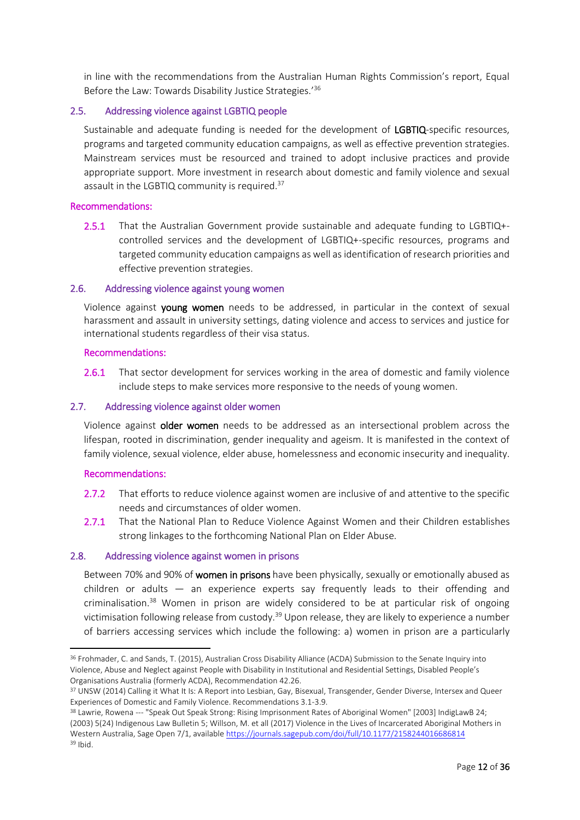in line with the recommendations from the Australian Human Rights Commission's report, Equal Before the Law: Towards Disability Justice Strategies.'<sup>36</sup>

### <span id="page-11-0"></span>2.5. Addressing violence against LGBTIQ people

Sustainable and adequate funding is needed for the development of LGBTIQ-specific resources, programs and targeted community education campaigns, as well as effective prevention strategies. Mainstream services must be resourced and trained to adopt inclusive practices and provide appropriate support. More investment in research about domestic and family violence and sexual assault in the LGBTIQ community is required.<sup>37</sup>

### Recommendations:

2.5.1 That the Australian Government provide sustainable and adequate funding to LGBTIQ+ controlled services and the development of LGBTIQ+-specific resources, programs and targeted community education campaigns as well as identification of research priorities and effective prevention strategies.

#### <span id="page-11-1"></span>2.6. Addressing violence against young women

Violence against young women needs to be addressed, in particular in the context of sexual harassment and assault in university settings, dating violence and access to services and justice for international students regardless of their visa status.

#### Recommendations:

2.6.1 That sector development for services working in the area of domestic and family violence include steps to make services more responsive to the needs of young women.

#### <span id="page-11-2"></span>2.7. Addressing violence against older women

Violence against older women needs to be addressed as an intersectional problem across the lifespan, rooted in discrimination, gender inequality and ageism. It is manifested in the context of family violence, sexual violence, elder abuse, homelessness and economic insecurity and inequality.

### Recommendations:

**.** 

- 2.7.2 That efforts to reduce violence against women are inclusive of and attentive to the specific needs and circumstances of older women.
- 2.7.1 That the National Plan to Reduce Violence Against Women and their Children establishes strong linkages to the forthcoming National Plan on Elder Abuse.

### <span id="page-11-3"></span>2.8. Addressing violence against women in prisons

Between 70% and 90% of women in prisons have been physically, sexually or emotionally abused as children or adults — an experience experts say frequently leads to their offending and criminalisation.<sup>38</sup> Women in prison are widely considered to be at particular risk of ongoing victimisation following release from custody.<sup>39</sup> Upon release, they are likely to experience a number of barriers accessing services which include the following: a) women in prison are a particularly

<sup>36</sup> Frohmader, C. and Sands, T. (2015), Australian Cross Disability Alliance (ACDA) Submission to the Senate Inquiry into Violence, Abuse and Neglect against People with Disability in Institutional and Residential Settings, Disabled People's Organisations Australia (formerly ACDA), Recommendation 42.26.

<sup>&</sup>lt;sup>37</sup> UNSW (2014) Calling it What It Is: A Report into Lesbian, Gay, Bisexual, Transgender, Gender Diverse, Intersex and Queer Experiences of Domestic and Family Violence. Recommendations 3.1-3.9.

<sup>&</sup>lt;sup>38</sup> Lawrie, Rowena --- "Speak Out Speak Strong: Rising Imprisonment Rates of Aboriginal Women" [2003] IndigLawB 24; (2003) 5(24) Indigenous Law Bulletin 5; Willson, M. et all (2017) Violence in the Lives of Incarcerated Aboriginal Mothers in Western Australia, Sage Open 7/1, availabl[e https://journals.sagepub.com/doi/full/10.1177/2158244016686814](https://journals.sagepub.com/doi/full/10.1177/2158244016686814) <sup>39</sup> Ibid.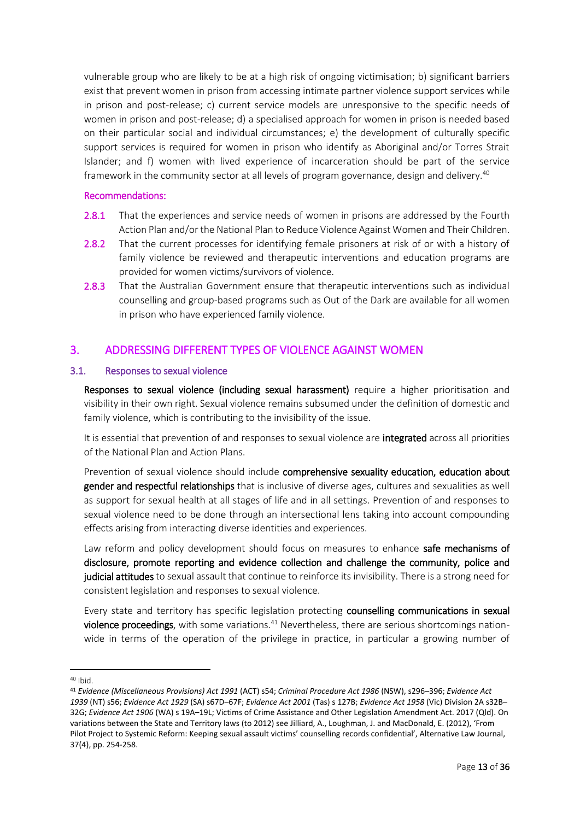vulnerable group who are likely to be at a high risk of ongoing victimisation; b) significant barriers exist that prevent women in prison from accessing intimate partner violence support services while in prison and post-release; c) current service models are unresponsive to the specific needs of women in prison and post-release; d) a specialised approach for women in prison is needed based on their particular social and individual circumstances; e) the development of culturally specific support services is required for women in prison who identify as Aboriginal and/or Torres Strait Islander; and f) women with lived experience of incarceration should be part of the service framework in the community sector at all levels of program governance, design and delivery.<sup>40</sup>

### Recommendations:

- 2.8.1 That the experiences and service needs of women in prisons are addressed by the Fourth Action Plan and/or the National Plan to Reduce Violence Against Women and Their Children.
- 2.8.2 That the current processes for identifying female prisoners at risk of or with a history of family violence be reviewed and therapeutic interventions and education programs are provided for women victims/survivors of violence.
- 2.8.3 That the Australian Government ensure that therapeutic interventions such as individual counselling and group-based programs such as Out of the Dark are available for all women in prison who have experienced family violence.

## <span id="page-12-0"></span>3. ADDRESSING DIFFERENT TYPES OF VIOLENCE AGAINST WOMEN

### <span id="page-12-1"></span>3.1. Responses to sexual violence

Responses to sexual violence (including sexual harassment) require a higher prioritisation and visibility in their own right. Sexual violence remains subsumed under the definition of domestic and family violence, which is contributing to the invisibility of the issue.

It is essential that prevention of and responses to sexual violence are integrated across all priorities of the National Plan and Action Plans.

Prevention of sexual violence should include comprehensive sexuality education, education about gender and respectful relationships that is inclusive of diverse ages, cultures and sexualities as well as support for sexual health at all stages of life and in all settings. Prevention of and responses to sexual violence need to be done through an intersectional lens taking into account compounding effects arising from interacting diverse identities and experiences.

Law reform and policy development should focus on measures to enhance safe mechanisms of disclosure, promote reporting and evidence collection and challenge the community, police and judicial attitudes to sexual assault that continue to reinforce its invisibility. There is a strong need for consistent legislation and responses to sexual violence.

Every state and territory has specific legislation protecting counselling communications in sexual violence proceedings, with some variations.<sup>41</sup> Nevertheless, there are serious shortcomings nationwide in terms of the operation of the privilege in practice, in particular a growing number of

1

 $40$  Ibid.

<sup>41</sup> *Evidence (Miscellaneous Provisions) Act 1991* (ACT) s54; *Criminal Procedure Act 1986* (NSW), s296–396; *Evidence Act 1939* (NT) s56; *Evidence Act 1929* (SA) s67D–67F; *Evidence Act 2001* (Tas) s 127B; *Evidence Act 1958* (Vic) Division 2A s32B– 32G; *Evidence Act 1906* (WA) s 19A–19L; Victims of Crime Assistance and Other Legislation Amendment Act. 2017 (Qld). On variations between the State and Territory laws (to 2012) see Jilliard, A., Loughman, J. and MacDonald, E. (2012), 'From Pilot Project to Systemic Reform: Keeping sexual assault victims' counselling records confidential', Alternative Law Journal, 37(4), pp. 254-258.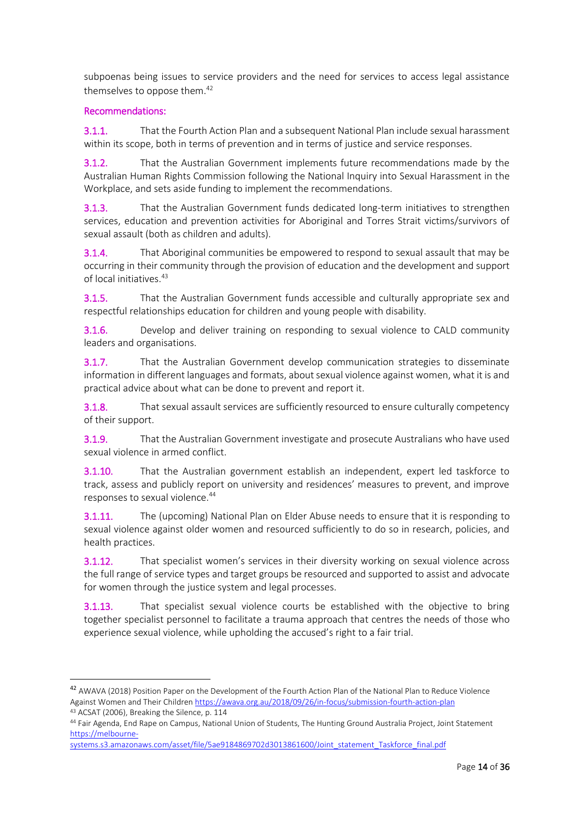subpoenas being issues to service providers and the need for services to access legal assistance themselves to oppose them.<sup>42</sup>

### Recommendations:

**.** 

3.1.1. That the Fourth Action Plan and a subsequent National Plan include sexual harassment within its scope, both in terms of prevention and in terms of justice and service responses.

3.1.2. That the Australian Government implements future recommendations made by the Australian Human Rights Commission following the National Inquiry into Sexual Harassment in the Workplace, and sets aside funding to implement the recommendations.

3.1.3. That the Australian Government funds dedicated long-term initiatives to strengthen services, education and prevention activities for Aboriginal and Torres Strait victims/survivors of sexual assault (both as children and adults).

3.1.4. That Aboriginal communities be empowered to respond to sexual assault that may be occurring in their community through the provision of education and the development and support of local initiatives.<sup>43</sup>

3.1.5. That the Australian Government funds accessible and culturally appropriate sex and respectful relationships education for children and young people with disability.

3.1.6. Develop and deliver training on responding to sexual violence to CALD community leaders and organisations.

3.1.7. That the Australian Government develop communication strategies to disseminate information in different languages and formats, about sexual violence against women, what it is and practical advice about what can be done to prevent and report it.

3.1.8. That sexual assault services are sufficiently resourced to ensure culturally competency of their support.

3.1.9. That the Australian Government investigate and prosecute Australians who have used sexual violence in armed conflict.

3.1.10. That the Australian government establish an independent, expert led taskforce to track, assess and publicly report on university and residences' measures to prevent, and improve responses to sexual violence.<sup>44</sup>

3.1.11. The (upcoming) National Plan on Elder Abuse needs to ensure that it is responding to sexual violence against older women and resourced sufficiently to do so in research, policies, and health practices.

3.1.12. That specialist women's services in their diversity working on sexual violence across the full range of service types and target groups be resourced and supported to assist and advocate for women through the justice system and legal processes.

3.1.13. That specialist sexual violence courts be established with the objective to bring together specialist personnel to facilitate a trauma approach that centres the needs of those who experience sexual violence, while upholding the accused's right to a fair trial.

<sup>42</sup> AWAVA (2018) Position Paper on the Development of the Fourth Action Plan of the National Plan to Reduce Violence Against Women and Their Childre[n https://awava.org.au/2018/09/26/in-focus/submission-fourth-action-plan](https://awava.org.au/2018/09/26/in-focus/submission-fourth-action-plan) <sup>43</sup> ACSAT (2006), Breaking the Silence, p. 114

<sup>44</sup> Fair Agenda, End Rape on Campus, National Union of Students, The Hunting Ground Australia Project, Joint Statement [https://melbourne-](https://melbourne-systems.s3.amazonaws.com/asset/file/5ae9184869702d3013861600/Joint_statement_Taskforce_final.pdf)

systems.s3.amazonaws.com/asset/file/5ae9184869702d3013861600/Joint\_statement\_Taskforce\_final.pdf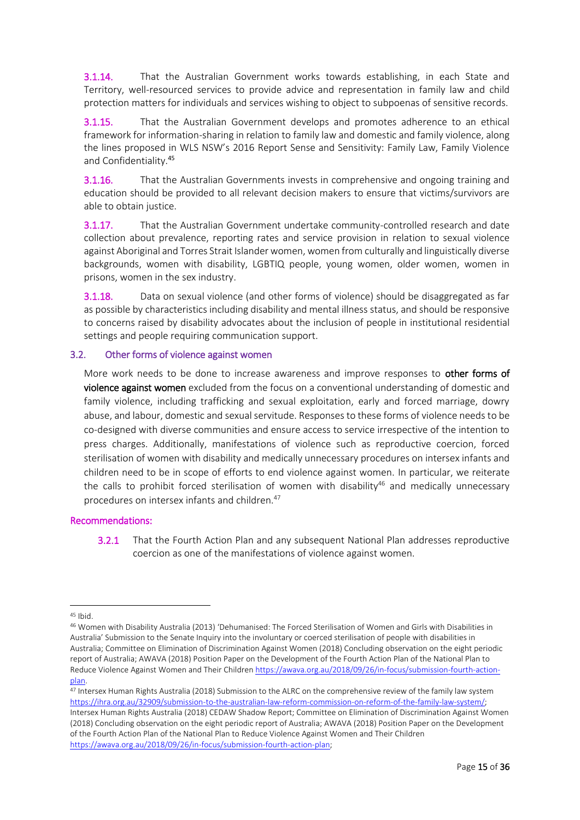3.1.14. That the Australian Government works towards establishing, in each State and Territory, well-resourced services to provide advice and representation in family law and child protection matters for individuals and services wishing to object to subpoenas of sensitive records.

3.1.15. That the Australian Government develops and promotes adherence to an ethical framework for information-sharing in relation to family law and domestic and family violence, along the lines proposed in WLS NSW's 2016 Report Sense and Sensitivity: Family Law, Family Violence and Confidentiality.<sup>45</sup>

3.1.16. That the Australian Governments invests in comprehensive and ongoing training and education should be provided to all relevant decision makers to ensure that victims/survivors are able to obtain justice.

3.1.17. That the Australian Government undertake community-controlled research and date collection about prevalence, reporting rates and service provision in relation to sexual violence against Aboriginal and Torres Strait Islander women, women from culturally and linguistically diverse backgrounds, women with disability, LGBTIQ people, young women, older women, women in prisons, women in the sex industry.

3.1.18. Data on sexual violence (and other forms of violence) should be disaggregated as far as possible by characteristics including disability and mental illness status, and should be responsive to concerns raised by disability advocates about the inclusion of people in institutional residential settings and people requiring communication support.

### <span id="page-14-0"></span>3.2. Other forms of violence against women

More work needs to be done to increase awareness and improve responses to other forms of violence against women excluded from the focus on a conventional understanding of domestic and family violence, including trafficking and sexual exploitation, early and forced marriage, dowry abuse, and labour, domestic and sexual servitude. Responses to these forms of violence needs to be co-designed with diverse communities and ensure access to service irrespective of the intention to press charges. Additionally, manifestations of violence such as reproductive coercion, forced sterilisation of women with disability and medically unnecessary procedures on intersex infants and children need to be in scope of efforts to end violence against women. In particular, we reiterate the calls to prohibit forced sterilisation of women with disability<sup>46</sup> and medically unnecessary procedures on intersex infants and children.<sup>47</sup>

### Recommendations:

3.2.1 That the Fourth Action Plan and any subsequent National Plan addresses reproductive coercion as one of the manifestations of violence against women.

1

 $45$  Ibid.

<sup>46</sup> Women with Disability Australia (2013) 'Dehumanised: The Forced Sterilisation of Women and Girls with Disabilities in Australia' Submission to the Senate Inquiry into the involuntary or coerced sterilisation of people with disabilities in Australia; Committee on Elimination of Discrimination Against Women (2018) Concluding observation on the eight periodic report of Australia; AWAVA (2018) Position Paper on the Development of the Fourth Action Plan of the National Plan to Reduce Violence Against Women and Their Childre[n https://awava.org.au/2018/09/26/in-focus/submission-fourth-action](https://awava.org.au/2018/09/26/in-focus/submission-fourth-action-plan)[plan.](https://awava.org.au/2018/09/26/in-focus/submission-fourth-action-plan)

<sup>47</sup> Intersex Human Rights Australia (2018) Submission to the ALRC on the comprehensive review of the family law system [https://ihra.org.au/32909/submission-to-the-australian-law-reform-commission-on-reform-of-the-family-law-system/;](https://ihra.org.au/32909/submission-to-the-australian-law-reform-commission-on-reform-of-the-family-law-system/) Intersex Human Rights Australia (2018) CEDAW Shadow Report; Committee on Elimination of Discrimination Against Women (2018) Concluding observation on the eight periodic report of Australia; AWAVA (2018) Position Paper on the Development of the Fourth Action Plan of the National Plan to Reduce Violence Against Women and Their Children [https://awava.org.au/2018/09/26/in-focus/submission-fourth-action-plan;](https://awava.org.au/2018/09/26/in-focus/submission-fourth-action-plan)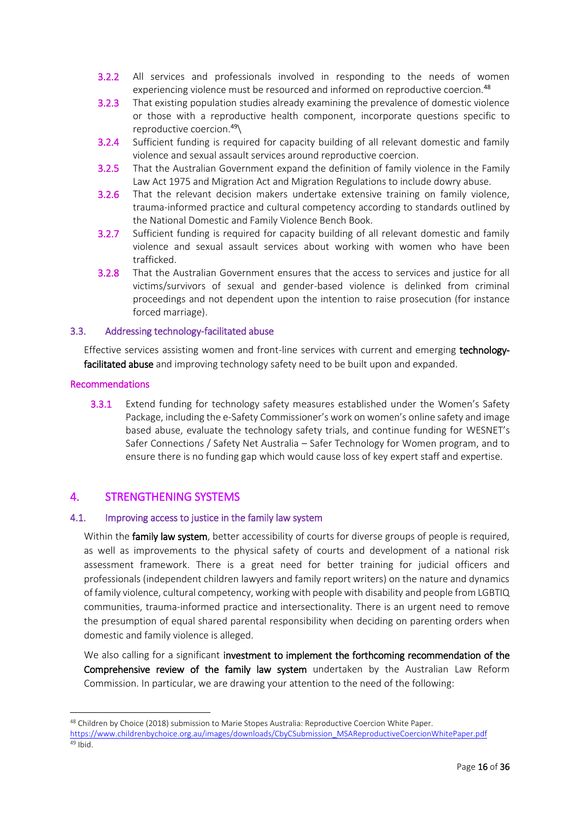- 3.2.2 All services and professionals involved in responding to the needs of women experiencing violence must be resourced and informed on reproductive coercion.<sup>48</sup>
- 3.2.3 That existing population studies already examining the prevalence of domestic violence or those with a reproductive health component, incorporate questions specific to reproductive coercion.<sup>49</sup>\
- 3.2.4 Sufficient funding is required for capacity building of all relevant domestic and family violence and sexual assault services around reproductive coercion.
- 3.2.5 That the Australian Government expand the definition of family violence in the Family Law Act 1975 and Migration Act and Migration Regulations to include dowry abuse.
- 3.2.6 That the relevant decision makers undertake extensive training on family violence, trauma-informed practice and cultural competency according to standards outlined by the National Domestic and Family Violence Bench Book.
- 3.2.7 Sufficient funding is required for capacity building of all relevant domestic and family violence and sexual assault services about working with women who have been trafficked.
- 3.2.8 That the Australian Government ensures that the access to services and justice for all victims/survivors of sexual and gender-based violence is delinked from criminal proceedings and not dependent upon the intention to raise prosecution (for instance forced marriage).

### <span id="page-15-0"></span>3.3. Addressing technology-facilitated abuse

Effective services assisting women and front-line services with current and emerging technologyfacilitated abuse and improving technology safety need to be built upon and expanded.

### Recommendations

1

3.3.1 Extend funding for technology safety measures established under the Women's Safety Package, including the e-Safety Commissioner's work on women's online safety and image based abuse, evaluate the technology safety trials, and continue funding for WESNET's Safer Connections / Safety Net Australia – Safer Technology for Women program, and to ensure there is no funding gap which would cause loss of key expert staff and expertise.

### <span id="page-15-1"></span>4. STRENGTHENING SYSTEMS

### <span id="page-15-2"></span>4.1. Improving access to justice in the family law system

Within the family law system, better accessibility of courts for diverse groups of people is required, as well as improvements to the physical safety of courts and development of a national risk assessment framework. There is a great need for better training for judicial officers and professionals (independent children lawyers and family report writers) on the nature and dynamics of family violence, cultural competency, working with people with disability and people from LGBTIQ communities, trauma-informed practice and intersectionality. There is an urgent need to remove the presumption of equal shared parental responsibility when deciding on parenting orders when domestic and family violence is alleged.

We also calling for a significant investment to implement the forthcoming recommendation of the Comprehensive review of the family law system undertaken by the Australian Law Reform Commission. In particular, we are drawing your attention to the need of the following:

<sup>48</sup> Children by Choice (2018) submission to Marie Stopes Australia: Reproductive Coercion White Paper.

[https://www.childrenbychoice.org.au/images/downloads/CbyCSubmission\\_MSAReproductiveCoercionWhitePaper.pdf](https://www.childrenbychoice.org.au/images/downloads/CbyCSubmission_MSAReproductiveCoercionWhitePaper.pdf) <sup>49</sup> Ibid.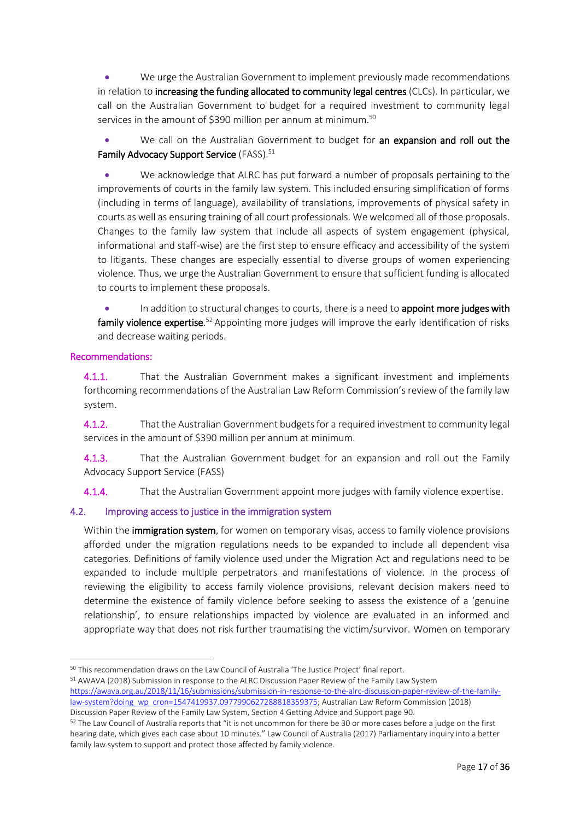We urge the Australian Government to implement previously made recommendations in relation to increasing the funding allocated to community legal centres (CLCs). In particular, we call on the Australian Government to budget for a required investment to community legal services in the amount of \$390 million per annum at minimum.<sup>50</sup>

• We call on the Australian Government to budget for an expansion and roll out the Family Advocacy Support Service (FASS).<sup>51</sup>

 We acknowledge that ALRC has put forward a number of proposals pertaining to the improvements of courts in the family law system. This included ensuring simplification of forms (including in terms of language), availability of translations, improvements of physical safety in courts as well as ensuring training of all court professionals. We welcomed all of those proposals. Changes to the family law system that include all aspects of system engagement (physical, informational and staff-wise) are the first step to ensure efficacy and accessibility of the system to litigants. These changes are especially essential to diverse groups of women experiencing violence. Thus, we urge the Australian Government to ensure that sufficient funding is allocated to courts to implement these proposals.

In addition to structural changes to courts, there is a need to **appoint more judges with** family violence expertise.<sup>52</sup> Appointing more judges will improve the early identification of risks and decrease waiting periods.

### Recommendations:

**.** 

4.1.1. That the Australian Government makes a significant investment and implements forthcoming recommendations of the Australian Law Reform Commission's review of the family law system.

4.1.2. That the Australian Government budgets for a required investment to community legal services in the amount of \$390 million per annum at minimum.

4.1.3. That the Australian Government budget for an expansion and roll out the Family Advocacy Support Service (FASS)

4.1.4. That the Australian Government appoint more judges with family violence expertise.

### <span id="page-16-0"></span>4.2. Improving access to justice in the immigration system

Within the **immigration system**, for women on temporary visas, access to family violence provisions afforded under the migration regulations needs to be expanded to include all dependent visa categories. Definitions of family violence used under the Migration Act and regulations need to be expanded to include multiple perpetrators and manifestations of violence. In the process of reviewing the eligibility to access family violence provisions, relevant decision makers need to determine the existence of family violence before seeking to assess the existence of a 'genuine relationship', to ensure relationships impacted by violence are evaluated in an informed and appropriate way that does not risk further traumatising the victim/survivor. Women on temporary

<sup>51</sup> AWAVA (2018) Submission in response to the ALRC Discussion Paper Review of the Family Law System [https://awava.org.au/2018/11/16/submissions/submission-in-response-to-the-alrc-discussion-paper-review-of-the-family](https://awava.org.au/2018/11/16/submissions/submission-in-response-to-the-alrc-discussion-paper-review-of-the-family-law-system?doing_wp_cron=1547419937.0977990627288818359375)[law-system?doing\\_wp\\_cron=1547419937.0977990627288818359375;](https://awava.org.au/2018/11/16/submissions/submission-in-response-to-the-alrc-discussion-paper-review-of-the-family-law-system?doing_wp_cron=1547419937.0977990627288818359375) Australian Law Reform Commission (2018)

Discussion Paper Review of the Family Law System, Section 4 Getting Advice and Support page 90.

<sup>50</sup> This recommendation draws on the Law Council of Australia 'The Justice Project' final report.

<sup>&</sup>lt;sup>52</sup> The Law Council of Australia reports that "it is not uncommon for there be 30 or more cases before a judge on the first hearing date, which gives each case about 10 minutes." Law Council of Australia (2017) Parliamentary inquiry into a better family law system to support and protect those affected by family violence.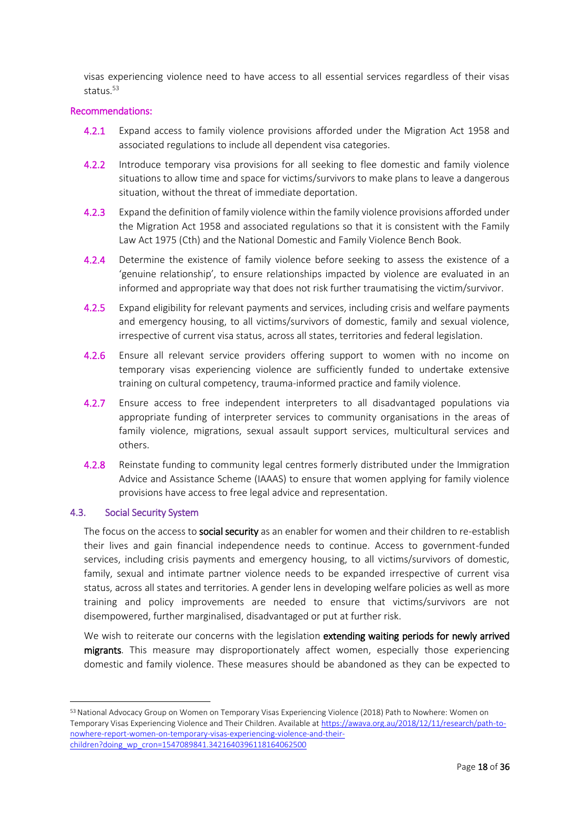visas experiencing violence need to have access to all essential services regardless of their visas status.<sup>53</sup>

### Recommendations:

- 4.2.1 Expand access to family violence provisions afforded under the Migration Act 1958 and associated regulations to include all dependent visa categories.
- 4.2.2 Introduce temporary visa provisions for all seeking to flee domestic and family violence situations to allow time and space for victims/survivors to make plans to leave a dangerous situation, without the threat of immediate deportation.
- 4.2.3 Expand the definition of family violence within the family violence provisions afforded under the Migration Act 1958 and associated regulations so that it is consistent with the Family Law Act 1975 (Cth) and the National Domestic and Family Violence Bench Book.
- 4.2.4 Determine the existence of family violence before seeking to assess the existence of a 'genuine relationship', to ensure relationships impacted by violence are evaluated in an informed and appropriate way that does not risk further traumatising the victim/survivor.
- 4.2.5 Expand eligibility for relevant payments and services, including crisis and welfare payments and emergency housing, to all victims/survivors of domestic, family and sexual violence, irrespective of current visa status, across all states, territories and federal legislation.
- 4.2.6 Ensure all relevant service providers offering support to women with no income on temporary visas experiencing violence are sufficiently funded to undertake extensive training on cultural competency, trauma-informed practice and family violence.
- 4.2.7 Ensure access to free independent interpreters to all disadvantaged populations via appropriate funding of interpreter services to community organisations in the areas of family violence, migrations, sexual assault support services, multicultural services and others.
- 4.2.8 Reinstate funding to community legal centres formerly distributed under the Immigration Advice and Assistance Scheme (IAAAS) to ensure that women applying for family violence provisions have access to free legal advice and representation.

### <span id="page-17-0"></span>4.3. Social Security System

1

The focus on the access to social security as an enabler for women and their children to re-establish their lives and gain financial independence needs to continue. Access to government-funded services, including crisis payments and emergency housing, to all victims/survivors of domestic, family, sexual and intimate partner violence needs to be expanded irrespective of current visa status, across all states and territories. A gender lens in developing welfare policies as well as more training and policy improvements are needed to ensure that victims/survivors are not disempowered, further marginalised, disadvantaged or put at further risk.

We wish to reiterate our concerns with the legislation extending waiting periods for newly arrived migrants. This measure may disproportionately affect women, especially those experiencing domestic and family violence. These measures should be abandoned as they can be expected to

<sup>53</sup> National Advocacy Group on Women on Temporary Visas Experiencing Violence (2018) Path to Nowhere: Women on Temporary Visas Experiencing Violence and Their Children. Available at [https://awava.org.au/2018/12/11/research/path-to](https://awava.org.au/2018/12/11/research/path-to-nowhere-report-women-on-temporary-visas-experiencing-violence-and-their-children?doing_wp_cron=1547089841.3421640396118164062500)[nowhere-report-women-on-temporary-visas-experiencing-violence-and-their](https://awava.org.au/2018/12/11/research/path-to-nowhere-report-women-on-temporary-visas-experiencing-violence-and-their-children?doing_wp_cron=1547089841.3421640396118164062500)[children?doing\\_wp\\_cron=1547089841.3421640396118164062500](https://awava.org.au/2018/12/11/research/path-to-nowhere-report-women-on-temporary-visas-experiencing-violence-and-their-children?doing_wp_cron=1547089841.3421640396118164062500)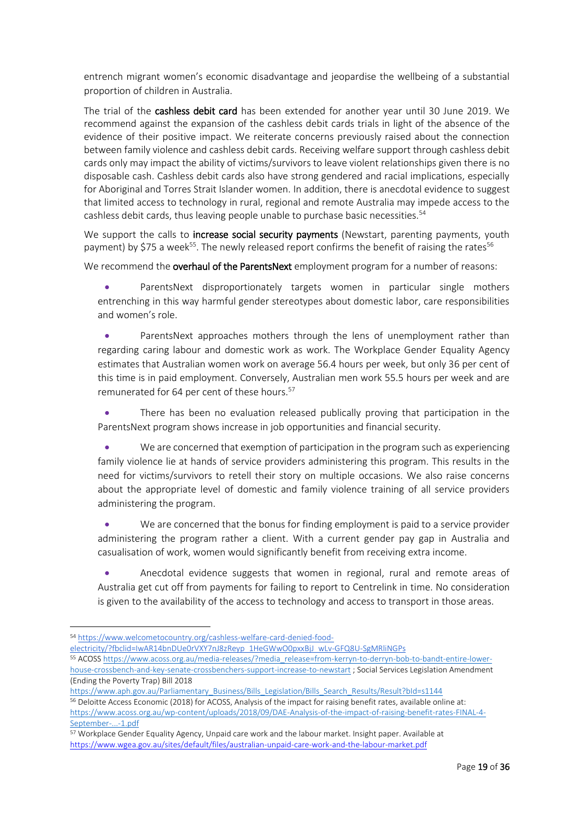entrench migrant women's economic disadvantage and jeopardise the wellbeing of a substantial proportion of children in Australia.

The trial of the cashless debit card has been extended for another year until 30 June 2019. We recommend against the expansion of the cashless debit cards trials in light of the absence of the evidence of their positive impact. We reiterate concerns previously raised about the connection between family violence and cashless debit cards. Receiving welfare support through cashless debit cards only may impact the ability of victims/survivors to leave violent relationships given there is no disposable cash. Cashless debit cards also have strong gendered and racial implications, especially for Aboriginal and Torres Strait Islander women. In addition, there is anecdotal evidence to suggest that limited access to technology in rural, regional and remote Australia may impede access to the cashless debit cards, thus leaving people unable to purchase basic necessities.<sup>54</sup>

We support the calls to **increase social security payments** (Newstart, parenting payments, youth payment) by \$75 a week<sup>55</sup>. The newly released report confirms the benefit of raising the rates<sup>56</sup>

We recommend the overhaul of the ParentsNext employment program for a number of reasons:

 ParentsNext disproportionately targets women in particular single mothers entrenching in this way harmful gender stereotypes about domestic labor, care responsibilities and women's role.

 ParentsNext approaches mothers through the lens of unemployment rather than regarding caring labour and domestic work as work. The Workplace Gender Equality Agency estimates that Australian women work on average 56.4 hours per week, but only 36 per cent of this time is in paid employment. Conversely, Australian men work 55.5 hours per week and are remunerated for 64 per cent of these hours.<sup>57</sup>

 There has been no evaluation released publically proving that participation in the ParentsNext program shows increase in job opportunities and financial security.

 We are concerned that exemption of participation in the program such as experiencing family violence lie at hands of service providers administering this program. This results in the need for victims/survivors to retell their story on multiple occasions. We also raise concerns about the appropriate level of domestic and family violence training of all service providers administering the program.

 We are concerned that the bonus for finding employment is paid to a service provider administering the program rather a client. With a current gender pay gap in Australia and casualisation of work, women would significantly benefit from receiving extra income.

 Anecdotal evidence suggests that women in regional, rural and remote areas of Australia get cut off from payments for failing to report to Centrelink in time. No consideration is given to the availability of the access to technology and access to transport in those areas.

**.** 

[electricity/?fbclid=IwAR14bnDUe0rVXY7nJ8zReyp\\_1HeGWwO0pxxBjJ\\_wLv-GFQ8U-SgMRliNGPs](https://www.welcometocountry.org/cashless-welfare-card-denied-food-electricity/?fbclid=IwAR14bnDUe0rVXY7nJ8zReyp_1HeGWwO0pxxBjJ_wLv-GFQ8U-SgMRliNGPs)

<sup>54</sup> [https://www.welcometocountry.org/cashless-welfare-card-denied-food-](https://www.welcometocountry.org/cashless-welfare-card-denied-food-electricity/?fbclid=IwAR14bnDUe0rVXY7nJ8zReyp_1HeGWwO0pxxBjJ_wLv-GFQ8U-SgMRliNGPs)

<sup>55</sup> ACOSS [https://www.acoss.org.au/media-releases/?media\\_release=from-kerryn-to-derryn-bob-to-bandt-entire-lower](https://www.acoss.org.au/media-releases/?media_release=from-kerryn-to-derryn-bob-to-bandt-entire-lower-house-crossbench-and-key-senate-crossbenchers-support-increase-to-newstart)[house-crossbench-and-key-senate-crossbenchers-support-increase-to-newstart](https://www.acoss.org.au/media-releases/?media_release=from-kerryn-to-derryn-bob-to-bandt-entire-lower-house-crossbench-and-key-senate-crossbenchers-support-increase-to-newstart) ; Social Services Legislation Amendment (Ending the Poverty Trap) Bill 2018

[https://www.aph.gov.au/Parliamentary\\_Business/Bills\\_Legislation/Bills\\_Search\\_Results/Result?bId=s1144](https://www.aph.gov.au/Parliamentary_Business/Bills_Legislation/Bills_Search_Results/Result?bId=s1144)

<sup>56</sup> Deloitte Access Economic (2018) for ACOSS, Analysis of the impact for raising benefit rates, available online at: [https://www.acoss.org.au/wp-content/uploads/2018/09/DAE-Analysis-of-the-impact-of-raising-benefit-rates-FINAL-4-](https://www.acoss.org.au/wp-content/uploads/2018/09/DAE-Analysis-of-the-impact-of-raising-benefit-rates-FINAL-4-September-...-1.pdf) [September-...-1.pdf](https://www.acoss.org.au/wp-content/uploads/2018/09/DAE-Analysis-of-the-impact-of-raising-benefit-rates-FINAL-4-September-...-1.pdf)

<sup>57</sup> Workplace Gender Equality Agency, Unpaid care work and the labour market. Insight paper. Available at <https://www.wgea.gov.au/sites/default/files/australian-unpaid-care-work-and-the-labour-market.pdf>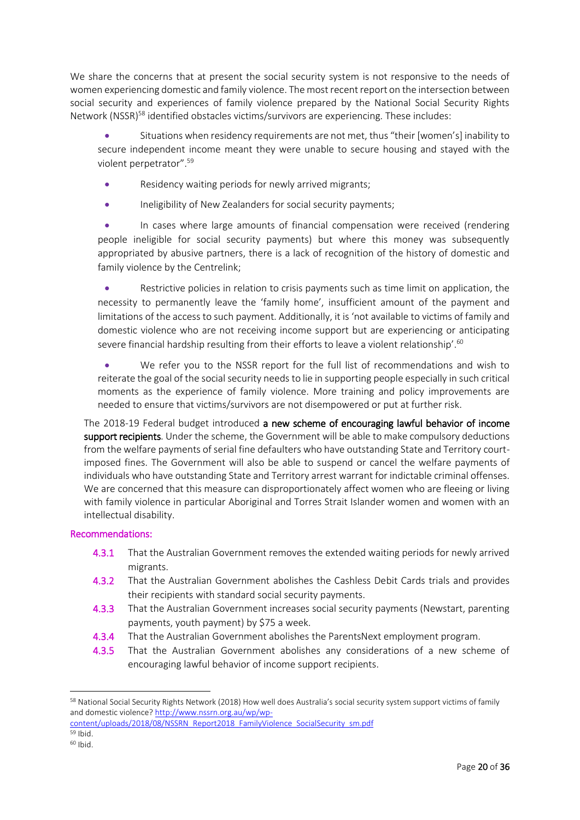We share the concerns that at present the social security system is not responsive to the needs of women experiencing domestic and family violence. The most recent report on the intersection between social security and experiences of family violence prepared by the National Social Security Rights Network (NSSR)<sup>58</sup> identified obstacles victims/survivors are experiencing. These includes:

 Situations when residency requirements are not met, thus "their [women's] inability to secure independent income meant they were unable to secure housing and stayed with the violent perpetrator".<sup>59</sup>

- Residency waiting periods for newly arrived migrants;
- Ineligibility of New Zealanders for social security payments;

 In cases where large amounts of financial compensation were received (rendering people ineligible for social security payments) but where this money was subsequently appropriated by abusive partners, there is a lack of recognition of the history of domestic and family violence by the Centrelink;

 Restrictive policies in relation to crisis payments such as time limit on application, the necessity to permanently leave the 'family home', insufficient amount of the payment and limitations of the access to such payment. Additionally, it is 'not available to victims of family and domestic violence who are not receiving income support but are experiencing or anticipating severe financial hardship resulting from their efforts to leave a violent relationship'.<sup>60</sup>

 We refer you to the NSSR report for the full list of recommendations and wish to reiterate the goal of the social security needs to lie in supporting people especially in such critical moments as the experience of family violence. More training and policy improvements are needed to ensure that victims/survivors are not disempowered or put at further risk.

The 2018-19 Federal budget introduced a new scheme of encouraging lawful behavior of income support recipients. Under the scheme, the Government will be able to make compulsory deductions from the welfare payments of serial fine defaulters who have outstanding State and Territory courtimposed fines. The Government will also be able to suspend or cancel the welfare payments of individuals who have outstanding State and Territory arrest warrant for indictable criminal offenses. We are concerned that this measure can disproportionately affect women who are fleeing or living with family violence in particular Aboriginal and Torres Strait Islander women and women with an intellectual disability.

### Recommendations:

- 4.3.1 That the Australian Government removes the extended waiting periods for newly arrived migrants.
- 4.3.2 That the Australian Government abolishes the Cashless Debit Cards trials and provides their recipients with standard social security payments.
- 4.3.3 That the Australian Government increases social security payments (Newstart, parenting payments, youth payment) by \$75 a week.
- 4.3.4 That the Australian Government abolishes the ParentsNext employment program.
- 4.3.5 That the Australian Government abolishes any considerations of a new scheme of encouraging lawful behavior of income support recipients.

**.** 

<sup>58</sup> National Social Security Rights Network (2018) How well does Australia's social security system support victims of family and domestic violence[? http://www.nssrn.org.au/wp/wp](http://www.nssrn.org.au/wp/wp-content/uploads/2018/08/NSSRN_Report2018_FamilyViolence_SocialSecurity_sm.pdf)[content/uploads/2018/08/NSSRN\\_Report2018\\_FamilyViolence\\_SocialSecurity\\_sm.pdf](http://www.nssrn.org.au/wp/wp-content/uploads/2018/08/NSSRN_Report2018_FamilyViolence_SocialSecurity_sm.pdf)

<sup>59</sup> Ibid.

<sup>60</sup> Ibid.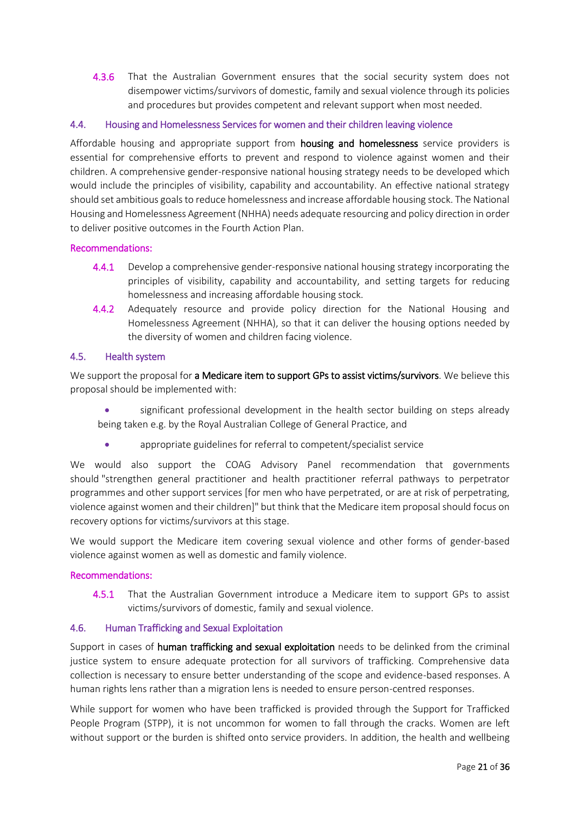4.3.6 That the Australian Government ensures that the social security system does not disempower victims/survivors of domestic, family and sexual violence through its policies and procedures but provides competent and relevant support when most needed.

### <span id="page-20-0"></span>4.4. Housing and Homelessness Services for women and their children leaving violence

Affordable housing and appropriate support from **housing and homelessness** service providers is essential for comprehensive efforts to prevent and respond to violence against women and their children. A comprehensive gender-responsive national housing strategy needs to be developed which would include the principles of visibility, capability and accountability. An effective national strategy should set ambitious goals to reduce homelessness and increase affordable housing stock. The National Housing and Homelessness Agreement (NHHA) needs adequate resourcing and policy direction in order to deliver positive outcomes in the Fourth Action Plan.

### Recommendations:

- 4.4.1 Develop a comprehensive gender-responsive national housing strategy incorporating the principles of visibility, capability and accountability, and setting targets for reducing homelessness and increasing affordable housing stock.
- 4.4.2 Adequately resource and provide policy direction for the National Housing and Homelessness Agreement (NHHA), so that it can deliver the housing options needed by the diversity of women and children facing violence.

### <span id="page-20-1"></span>4.5. Health system

We support the proposal for a Medicare item to support GPs to assist victims/survivors. We believe this proposal should be implemented with:

- significant professional development in the health sector building on steps already being taken e.g. by the Royal Australian College of General Practice, and
	- appropriate guidelines for referral to competent/specialist service

We would also support the COAG Advisory Panel recommendation that governments should "strengthen general practitioner and health practitioner referral pathways to perpetrator programmes and other support services [for men who have perpetrated, or are at risk of perpetrating, violence against women and their children]" but think that the Medicare item proposal should focus on recovery options for victims/survivors at this stage.

We would support the Medicare item covering sexual violence and other forms of gender-based violence against women as well as domestic and family violence.

### Recommendations:

4.5.1 That the Australian Government introduce a Medicare item to support GPs to assist victims/survivors of domestic, family and sexual violence.

### <span id="page-20-2"></span>4.6. Human Trafficking and Sexual Exploitation

Support in cases of human trafficking and sexual exploitation needs to be delinked from the criminal justice system to ensure adequate protection for all survivors of trafficking. Comprehensive data collection is necessary to ensure better understanding of the scope and evidence-based responses. A human rights lens rather than a migration lens is needed to ensure person-centred responses.

While support for women who have been trafficked is provided through the Support for Trafficked People Program (STPP), it is not uncommon for women to fall through the cracks. Women are left without support or the burden is shifted onto service providers. In addition, the health and wellbeing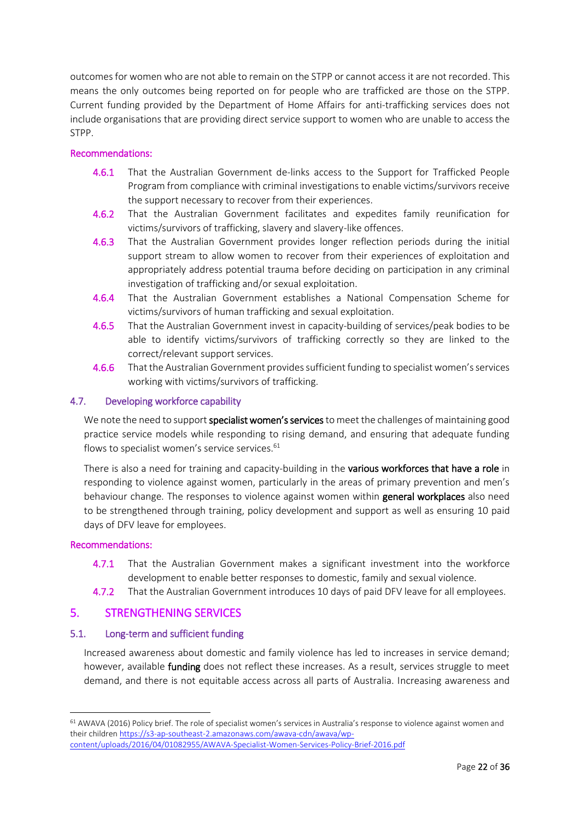outcomes for women who are not able to remain on the STPP or cannot access it are not recorded. This means the only outcomes being reported on for people who are trafficked are those on the STPP. Current funding provided by the Department of Home Affairs for anti-trafficking services does not include organisations that are providing direct service support to women who are unable to access the STPP.

### Recommendations:

- 4.6.1 That the Australian Government de-links access to the Support for Trafficked People Program from compliance with criminal investigations to enable victims/survivors receive the support necessary to recover from their experiences.
- 4.6.2 That the Australian Government facilitates and expedites family reunification for victims/survivors of trafficking, slavery and slavery-like offences.
- 4.6.3 That the Australian Government provides longer reflection periods during the initial support stream to allow women to recover from their experiences of exploitation and appropriately address potential trauma before deciding on participation in any criminal investigation of trafficking and/or sexual exploitation.
- 4.6.4 That the Australian Government establishes a National Compensation Scheme for victims/survivors of human trafficking and sexual exploitation.
- 4.6.5 That the Australian Government invest in capacity-building of services/peak bodies to be able to identify victims/survivors of trafficking correctly so they are linked to the correct/relevant support services.
- 4.6.6 That the Australian Government provides sufficient funding to specialist women's services working with victims/survivors of trafficking.

### <span id="page-21-0"></span>4.7. Developing workforce capability

We note the need to support specialist women's services to meet the challenges of maintaining good practice service models while responding to rising demand, and ensuring that adequate funding flows to specialist women's service services.<sup>61</sup>

There is also a need for training and capacity-building in the various workforces that have a role in responding to violence against women, particularly in the areas of primary prevention and men's behaviour change. The responses to violence against women within **general workplaces** also need to be strengthened through training, policy development and support as well as ensuring 10 paid days of DFV leave for employees.

### Recommendations:

1

- 4.7.1 That the Australian Government makes a significant investment into the workforce development to enable better responses to domestic, family and sexual violence.
- 4.7.2 That the Australian Government introduces 10 days of paid DFV leave for all employees.

### <span id="page-21-1"></span>5. STRENGTHENING SERVICES

### <span id="page-21-2"></span>5.1. Long-term and sufficient funding

Increased awareness about domestic and family violence has led to increases in service demand; however, available funding does not reflect these increases. As a result, services struggle to meet demand, and there is not equitable access across all parts of Australia. Increasing awareness and

<sup>61</sup> AWAVA (2016) Policy brief. The role of specialist women's services in Australia's response to violence against women and their childre[n https://s3-ap-southeast-2.amazonaws.com/awava-cdn/awava/wp](https://s3-ap-southeast-2.amazonaws.com/awava-cdn/awava/wp-content/uploads/2016/04/01082955/AWAVA-Specialist-Women-Services-Policy-Brief-2016.pdf)[content/uploads/2016/04/01082955/AWAVA-Specialist-Women-Services-Policy-Brief-2016.pdf](https://s3-ap-southeast-2.amazonaws.com/awava-cdn/awava/wp-content/uploads/2016/04/01082955/AWAVA-Specialist-Women-Services-Policy-Brief-2016.pdf)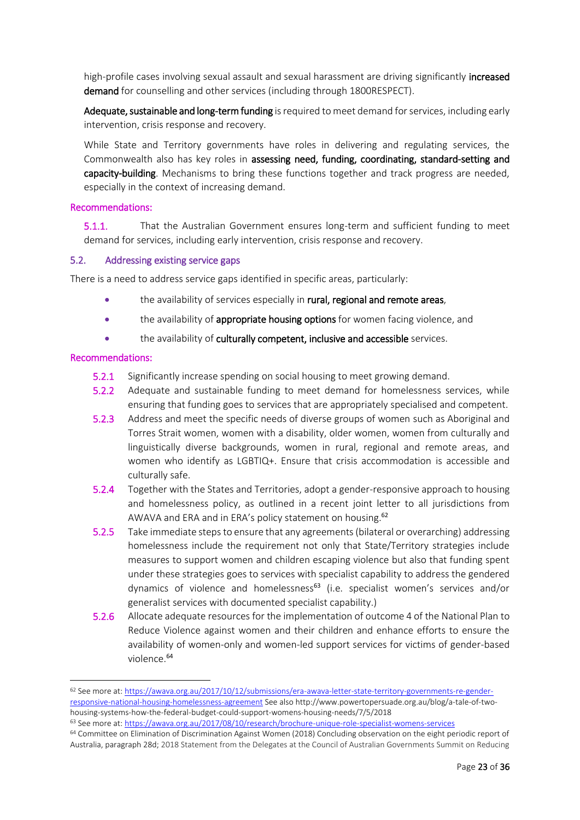high-profile cases involving sexual assault and sexual harassment are driving significantly increased demand for counselling and other services (including through 1800RESPECT).

Adequate, sustainable and long-term funding is required to meet demand for services, including early intervention, crisis response and recovery.

While State and Territory governments have roles in delivering and regulating services, the Commonwealth also has key roles in assessing need, funding, coordinating, standard-setting and capacity-building. Mechanisms to bring these functions together and track progress are needed, especially in the context of increasing demand.

#### Recommendations:

5.1.1. That the Australian Government ensures long-term and sufficient funding to meet demand for services, including early intervention, crisis response and recovery.

#### <span id="page-22-0"></span>5.2. Addressing existing service gaps

There is a need to address service gaps identified in specific areas, particularly:

- the availability of services especially in rural, regional and remote areas,
- the availability of appropriate housing options for women facing violence, and
- the availability of culturally competent, inclusive and accessible services.

#### Recommendations:

**.** 

- 5.2.1 Significantly increase spending on social housing to meet growing demand.
- 5.2.2 Adequate and sustainable funding to meet demand for homelessness services, while ensuring that funding goes to services that are appropriately specialised and competent.
- 5.2.3 Address and meet the specific needs of diverse groups of women such as Aboriginal and Torres Strait women, women with a disability, older women, women from culturally and linguistically diverse backgrounds, women in rural, regional and remote areas, and women who identify as LGBTIQ+. Ensure that crisis accommodation is accessible and culturally safe.
- 5.2.4 Together with the States and Territories, adopt a gender-responsive approach to housing and homelessness policy, as outlined in a recent joint letter to all jurisdictions from AWAVA and ERA and in ERA's policy statement on housing.<sup>62</sup>
- 5.2.5 Take immediate steps to ensure that any agreements (bilateral or overarching) addressing homelessness include the requirement not only that State/Territory strategies include measures to support women and children escaping violence but also that funding spent under these strategies goes to services with specialist capability to address the gendered dynamics of violence and homelessness<sup>63</sup> (i.e. specialist women's services and/or generalist services with documented specialist capability.)
- 5.2.6 Allocate adequate resources for the implementation of outcome 4 of the National Plan to Reduce Violence against women and their children and enhance efforts to ensure the availability of women-only and women-led support services for victims of gender-based violence.<sup>64</sup>

<sup>62</sup> See more at: [https://awava.org.au/2017/10/12/submissions/era-awava-letter-state-territory-governments-re-gender](https://awava.org.au/2017/10/12/submissions/era-awava-letter-state-territory-governments-re-gender-responsive-national-housing-homelessness-agreement)[responsive-national-housing-homelessness-agreement](https://awava.org.au/2017/10/12/submissions/era-awava-letter-state-territory-governments-re-gender-responsive-national-housing-homelessness-agreement) See also http://www.powertopersuade.org.au/blog/a-tale-of-twohousing-systems-how-the-federal-budget-could-support-womens-housing-needs/7/5/2018

<sup>63</sup> See more at:<https://awava.org.au/2017/08/10/research/brochure-unique-role-specialist-womens-services>

<sup>64</sup> Committee on Elimination of Discrimination Against Women (2018) Concluding observation on the eight periodic report of Australia, paragraph 28d; 2018 Statement from the Delegates at the Council of Australian Governments Summit on Reducing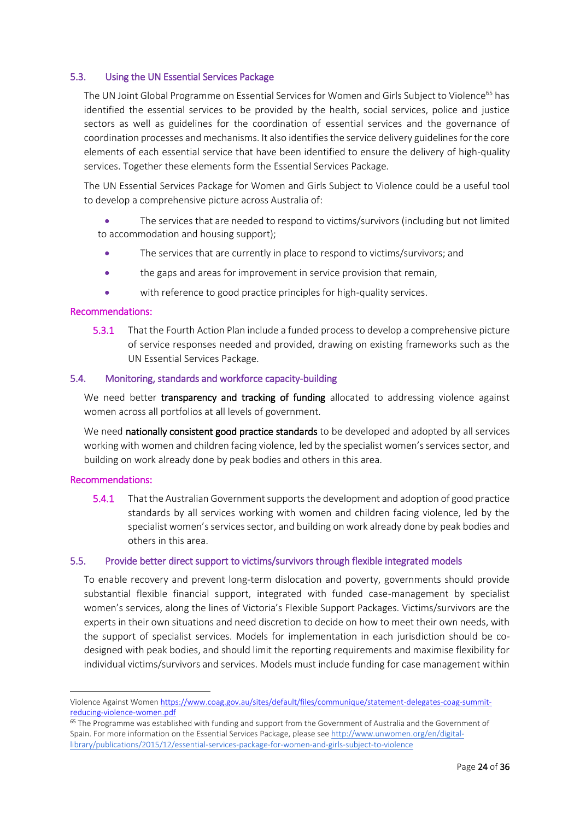### <span id="page-23-0"></span>5.3. Using the UN Essential Services Package

The UN Joint Global Programme on Essential Services for Women and Girls Subject to Violence<sup>65</sup> has identified the essential services to be provided by the health, social services, police and justice sectors as well as guidelines for the coordination of essential services and the governance of coordination processes and mechanisms. It also identifies the service delivery guidelines for the core elements of each essential service that have been identified to ensure the delivery of high-quality services. Together these elements form the Essential Services Package.

The UN Essential Services Package for Women and Girls Subject to Violence could be a useful tool to develop a comprehensive picture across Australia of:

 The services that are needed to respond to victims/survivors (including but not limited to accommodation and housing support);

- The services that are currently in place to respond to victims/survivors; and
- the gaps and areas for improvement in service provision that remain,
- with reference to good practice principles for high-quality services.

### Recommendations:

5.3.1 That the Fourth Action Plan include a funded process to develop a comprehensive picture of service responses needed and provided, drawing on existing frameworks such as the UN Essential Services Package.

### <span id="page-23-1"></span>5.4. Monitoring, standards and workforce capacity-building

We need better transparency and tracking of funding allocated to addressing violence against women across all portfolios at all levels of government.

We need nationally consistent good practice standards to be developed and adopted by all services working with women and children facing violence, led by the specialist women's services sector, and building on work already done by peak bodies and others in this area.

#### Recommendations:

**.** 

5.4.1 That the Australian Government supports the development and adoption of good practice standards by all services working with women and children facing violence, led by the specialist women's services sector, and building on work already done by peak bodies and others in this area.

### <span id="page-23-2"></span>5.5. Provide better direct support to victims/survivors through flexible integrated models

To enable recovery and prevent long-term dislocation and poverty, governments should provide substantial flexible financial support, integrated with funded case-management by specialist women's services, along the lines of Victoria's Flexible Support Packages. Victims/survivors are the experts in their own situations and need discretion to decide on how to meet their own needs, with the support of specialist services. Models for implementation in each jurisdiction should be codesigned with peak bodies, and should limit the reporting requirements and maximise flexibility for individual victims/survivors and services. Models must include funding for case management within

Violence Against Wome[n https://www.coag.gov.au/sites/default/files/communique/statement-delegates-coag-summit](https://www.coag.gov.au/sites/default/files/communique/statement-delegates-coag-summit-reducing-violence-women.pdf)[reducing-violence-women.pdf](https://www.coag.gov.au/sites/default/files/communique/statement-delegates-coag-summit-reducing-violence-women.pdf)

<sup>&</sup>lt;sup>65</sup> The Programme was established with funding and support from the Government of Australia and the Government of Spain. For more information on the Essential Services Package, please see [http://www.unwomen.org/en/digital](http://www.unwomen.org/en/digital-library/publications/2015/12/essential-services-package-for-women-and-girls-subject-to-violence)[library/publications/2015/12/essential-services-package-for-women-and-girls-subject-to-violence](http://www.unwomen.org/en/digital-library/publications/2015/12/essential-services-package-for-women-and-girls-subject-to-violence)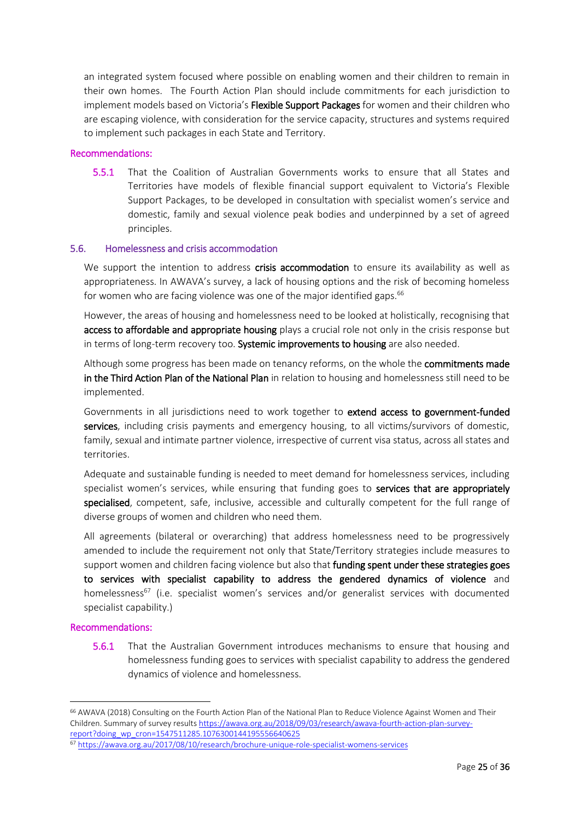an integrated system focused where possible on enabling women and their children to remain in their own homes. The Fourth Action Plan should include commitments for each jurisdiction to implement models based on Victoria's Flexible Support Packages for women and their children who are escaping violence, with consideration for the service capacity, structures and systems required to implement such packages in each State and Territory.

#### Recommendations:

5.5.1 That the Coalition of Australian Governments works to ensure that all States and Territories have models of flexible financial support equivalent to Victoria's Flexible Support Packages, to be developed in consultation with specialist women's service and domestic, family and sexual violence peak bodies and underpinned by a set of agreed principles.

#### <span id="page-24-0"></span>5.6. Homelessness and crisis accommodation

We support the intention to address crisis accommodation to ensure its availability as well as appropriateness. In AWAVA's survey, a lack of housing options and the risk of becoming homeless for women who are facing violence was one of the major identified gaps.<sup>66</sup>

However, the areas of housing and homelessness need to be looked at holistically, recognising that access to affordable and appropriate housing plays a crucial role not only in the crisis response but in terms of long-term recovery too. Systemic improvements to housing are also needed.

Although some progress has been made on tenancy reforms, on the whole the **commitments made** in the Third Action Plan of the National Plan in relation to housing and homelessness still need to be implemented.

Governments in all jurisdictions need to work together to extend access to government-funded services, including crisis payments and emergency housing, to all victims/survivors of domestic, family, sexual and intimate partner violence, irrespective of current visa status, across all states and territories.

Adequate and sustainable funding is needed to meet demand for homelessness services, including specialist women's services, while ensuring that funding goes to services that are appropriately specialised, competent, safe, inclusive, accessible and culturally competent for the full range of diverse groups of women and children who need them.

All agreements (bilateral or overarching) that address homelessness need to be progressively amended to include the requirement not only that State/Territory strategies include measures to support women and children facing violence but also that funding spent under these strategies goes to services with specialist capability to address the gendered dynamics of violence and homelessness<sup>67</sup> (i.e. specialist women's services and/or generalist services with documented specialist capability.)

#### Recommendations:

1

5.6.1 That the Australian Government introduces mechanisms to ensure that housing and homelessness funding goes to services with specialist capability to address the gendered dynamics of violence and homelessness.

<sup>66</sup> AWAVA (2018) Consulting on the Fourth Action Plan of the National Plan to Reduce Violence Against Women and Their Children. Summary of survey result[s https://awava.org.au/2018/09/03/research/awava-fourth-action-plan-survey](https://awava.org.au/2018/09/03/research/awava-fourth-action-plan-survey-report?doing_wp_cron=1547511285.1076300144195556640625)[report?doing\\_wp\\_cron=1547511285.1076300144195556640625](https://awava.org.au/2018/09/03/research/awava-fourth-action-plan-survey-report?doing_wp_cron=1547511285.1076300144195556640625)

<sup>67</sup> <https://awava.org.au/2017/08/10/research/brochure-unique-role-specialist-womens-services>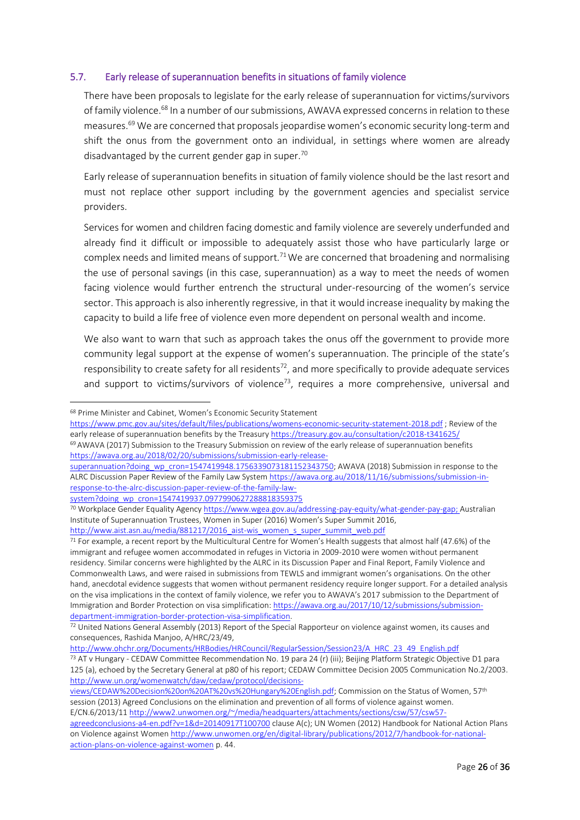### <span id="page-25-0"></span>5.7. Early release of superannuation benefits in situations of family violence

There have been proposals to legislate for the early release of superannuation for victims/survivors of family violence.<sup>68</sup> In a number of our submissions, AWAVA expressed concerns in relation to these measures.<sup>69</sup> We are concerned that proposals jeopardise women's economic security long-term and shift the onus from the government onto an individual, in settings where women are already disadvantaged by the current gender gap in super.<sup>70</sup>

Early release of superannuation benefits in situation of family violence should be the last resort and must not replace other support including by the government agencies and specialist service providers.

Services for women and children facing domestic and family violence are severely underfunded and already find it difficult or impossible to adequately assist those who have particularly large or complex needs and limited means of support.<sup>71</sup>We are concerned that broadening and normalising the use of personal savings (in this case, superannuation) as a way to meet the needs of women facing violence would further entrench the structural under-resourcing of the women's service sector. This approach is also inherently regressive, in that it would increase inequality by making the capacity to build a life free of violence even more dependent on personal wealth and income.

We also want to warn that such as approach takes the onus off the government to provide more community legal support at the expense of women's superannuation. The principle of the state's responsibility to create safety for all residents<sup>72</sup>, and more specifically to provide adequate services and support to victims/survivors of violence<sup>73</sup>, requires a more comprehensive, universal and

1

[response-to-the-alrc-discussion-paper-review-of-the-family-law](https://awava.org.au/2018/11/16/submissions/submission-in-response-to-the-alrc-discussion-paper-review-of-the-family-law-system?doing_wp_cron=1547419937.0977990627288818359375)[system?doing\\_wp\\_cron=1547419937.0977990627288818359375](https://awava.org.au/2018/11/16/submissions/submission-in-response-to-the-alrc-discussion-paper-review-of-the-family-law-system?doing_wp_cron=1547419937.0977990627288818359375)

[http://www.aist.asn.au/media/881217/2016\\_aist-wis\\_women\\_s\\_super\\_summit\\_web.pdf](http://www.aist.asn.au/media/881217/2016_aist-wis_women_s_super_summit_web.pdf)

<sup>68</sup> Prime Minister and Cabinet, Women's Economic Security Statement

<https://www.pmc.gov.au/sites/default/files/publications/womens-economic-security-statement-2018.pdf> ; Review of the early release of superannuation benefits by the Treasur[y https://treasury.gov.au/consultation/c2018-t341625/](https://treasury.gov.au/consultation/c2018-t341625/) <sup>69</sup> AWAVA (2017) Submission to the Treasury Submission on review of the early release of superannuation benefits

[https://awava.org.au/2018/02/20/submissions/submission-early-release](https://awava.org.au/2018/02/20/submissions/submission-early-release-superannuation?doing_wp_cron=1547419948.1756339073181152343750)[superannuation?doing\\_wp\\_cron=1547419948.1756339073181152343750;](https://awava.org.au/2018/02/20/submissions/submission-early-release-superannuation?doing_wp_cron=1547419948.1756339073181152343750) AWAVA (2018) Submission in response to the ALRC Discussion Paper Review of the Family Law Syste[m https://awava.org.au/2018/11/16/submissions/submission-in-](https://awava.org.au/2018/11/16/submissions/submission-in-response-to-the-alrc-discussion-paper-review-of-the-family-law-system?doing_wp_cron=1547419937.0977990627288818359375)

<sup>70</sup> Workplace Gender Equality Agenc[y https://www.wgea.gov.au/addressing-pay-equity/what-gender-pay-gap;](https://www.wgea.gov.au/addressing-pay-equity/what-gender-pay-gap) Australian Institute of Superannuation Trustees, Women in Super (2016) Women's Super Summit 2016,

 $71$  For example, a recent report by the Multicultural Centre for Women's Health suggests that almost half (47.6%) of the immigrant and refugee women accommodated in refuges in Victoria in 2009-2010 were women without permanent residency. Similar concerns were highlighted by the ALRC in its Discussion Paper and Final Report, Family Violence and Commonwealth Laws, and were raised in submissions from TEWLS and immigrant women's organisations. On the other hand, anecdotal evidence suggests that women without permanent residency require longer support. For a detailed analysis on the visa implications in the context of family violence, we refer you to AWAVA's 2017 submission to the Department of Immigration and Border Protection on visa simplification[: https://awava.org.au/2017/10/12/submissions/submission](https://awava.org.au/2017/10/12/submissions/submission-department-immigration-border-protection-visa-simplification)[department-immigration-border-protection-visa-simplification.](https://awava.org.au/2017/10/12/submissions/submission-department-immigration-border-protection-visa-simplification)

 $72$  United Nations General Assembly (2013) Report of the Special Rapporteur on violence against women, its causes and consequences, Rashida Manjoo, A/HRC/23/49,

[http://www.ohchr.org/Documents/HRBodies/HRCouncil/RegularSession/Session23/A\\_HRC\\_23\\_49\\_English.pdf](http://www.ohchr.org/Documents/HRBodies/HRCouncil/RegularSession/Session23/A_HRC_23_49_English.pdf)

<sup>73</sup> AT v Hungary - CEDAW Committee Recommendation No. 19 para 24 (r) (iii); Beijing Platform Strategic Objective D1 para 125 (a), echoed by the Secretary General at p80 of his report; CEDAW Committee Decision 2005 Communication No.2/2003. [http://www.un.org/womenwatch/daw/cedaw/protocol/decisions-](http://www.un.org/womenwatch/daw/cedaw/protocol/decisions-views/CEDAW%20Decision%20on%20AT%20vs%20Hungary%20English.pdf)

[views/CEDAW%20Decision%20on%20AT%20vs%20Hungary%20English.pdf;](http://www.un.org/womenwatch/daw/cedaw/protocol/decisions-views/CEDAW%20Decision%20on%20AT%20vs%20Hungary%20English.pdf) Commission on the Status of Women, 57th session (2013) Agreed Conclusions on the elimination and prevention of all forms of violence against women. E/CN.6/2013/11 [http://www2.unwomen.org/~/media/headquarters/attachments/sections/csw/57/csw57-](http://www2.unwomen.org/~/media/headquarters/attachments/sections/csw/57/csw57-agreedconclusions-a4-en.pdf?v=1&d=20140917T100700)

[agreedconclusions-a4-en.pdf?v=1&d=20140917T100700](http://www2.unwomen.org/~/media/headquarters/attachments/sections/csw/57/csw57-agreedconclusions-a4-en.pdf?v=1&d=20140917T100700) clause A(c); UN Women (2012) Handbook for National Action Plans on Violence against Wome[n http://www.unwomen.org/en/digital-library/publications/2012/7/handbook-for-national](http://www.unwomen.org/en/digital-library/publications/2012/7/handbook-for-national-action-plans-on-violence-against-women)[action-plans-on-violence-against-women](http://www.unwomen.org/en/digital-library/publications/2012/7/handbook-for-national-action-plans-on-violence-against-women) p. 44.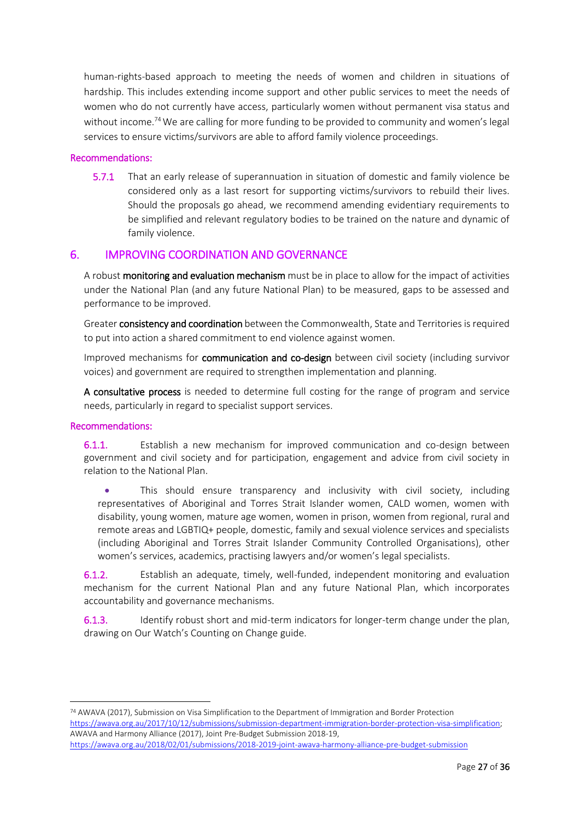human-rights-based approach to meeting the needs of women and children in situations of hardship. This includes extending income support and other public services to meet the needs of women who do not currently have access, particularly women without permanent visa status and without income.<sup>74</sup> We are calling for more funding to be provided to community and women's legal services to ensure victims/survivors are able to afford family violence proceedings.

### Recommendations:

5.7.1 That an early release of superannuation in situation of domestic and family violence be considered only as a last resort for supporting victims/survivors to rebuild their lives. Should the proposals go ahead, we recommend amending evidentiary requirements to be simplified and relevant regulatory bodies to be trained on the nature and dynamic of family violence.

## <span id="page-26-0"></span>6. IMPROVING COORDINATION AND GOVERNANCE

A robust monitoring and evaluation mechanism must be in place to allow for the impact of activities under the National Plan (and any future National Plan) to be measured, gaps to be assessed and performance to be improved.

Greater consistency and coordination between the Commonwealth, State and Territories is required to put into action a shared commitment to end violence against women.

Improved mechanisms for communication and co-design between civil society (including survivor voices) and government are required to strengthen implementation and planning.

A consultative process is needed to determine full costing for the range of program and service needs, particularly in regard to specialist support services.

### Recommendations:

1

6.1.1. Establish a new mechanism for improved communication and co-design between government and civil society and for participation, engagement and advice from civil society in relation to the National Plan.

 This should ensure transparency and inclusivity with civil society, including representatives of Aboriginal and Torres Strait Islander women, CALD women, women with disability, young women, mature age women, women in prison, women from regional, rural and remote areas and LGBTIQ+ people, domestic, family and sexual violence services and specialists (including Aboriginal and Torres Strait Islander Community Controlled Organisations), other women's services, academics, practising lawyers and/or women's legal specialists.

6.1.2. Establish an adequate, timely, well-funded, independent monitoring and evaluation mechanism for the current National Plan and any future National Plan, which incorporates accountability and governance mechanisms.

6.1.3. Identify robust short and mid-term indicators for longer-term change under the plan, drawing on Our Watch's Counting on Change guide.

<sup>74</sup> AWAVA (2017), Submission on Visa Simplification to the Department of Immigration and Border Protection [https://awava.org.au/2017/10/12/submissions/submission-department-immigration-border-protection-visa-simplification;](https://awava.org.au/2017/10/12/submissions/submission-department-immigration-border-protection-visa-simplification)  AWAVA and Harmony Alliance (2017), Joint Pre-Budget Submission 2018-19, <https://awava.org.au/2018/02/01/submissions/2018-2019-joint-awava-harmony-alliance-pre-budget-submission>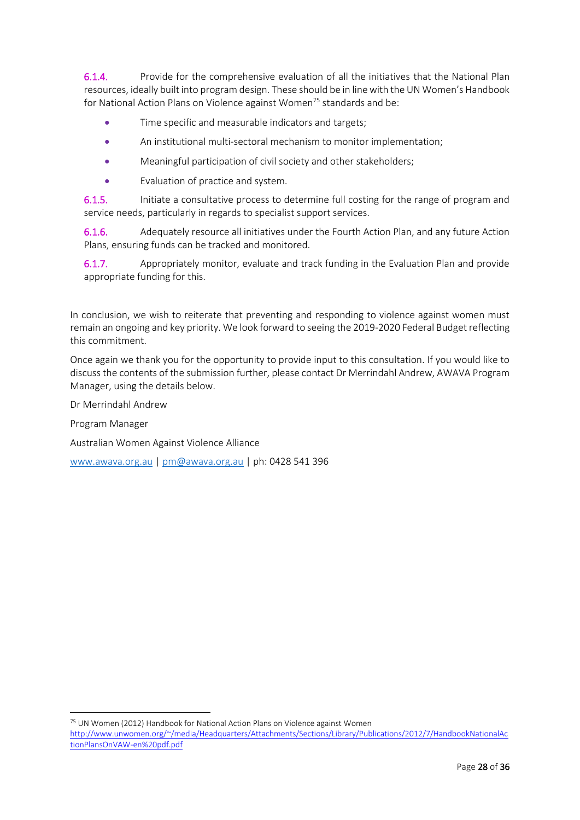6.1.4. Provide for the comprehensive evaluation of all the initiatives that the National Plan resources, ideally built into program design. These should be in line with the UN Women's Handbook for National Action Plans on Violence against Women<sup>75</sup> standards and be:

- Time specific and measurable indicators and targets;
- An institutional multi-sectoral mechanism to monitor implementation;
- Meaningful participation of civil society and other stakeholders;
- Evaluation of practice and system.

6.1.5. Initiate a consultative process to determine full costing for the range of program and service needs, particularly in regards to specialist support services.

6.1.6. Adequately resource all initiatives under the Fourth Action Plan, and any future Action Plans, ensuring funds can be tracked and monitored.

6.1.7. Appropriately monitor, evaluate and track funding in the Evaluation Plan and provide appropriate funding for this.

In conclusion, we wish to reiterate that preventing and responding to violence against women must remain an ongoing and key priority. We look forward to seeing the 2019-2020 Federal Budget reflecting this commitment.

Once again we thank you for the opportunity to provide input to this consultation. If you would like to discuss the contents of the submission further, please contact Dr Merrindahl Andrew, AWAVA Program Manager, using the details below.

Dr Merrindahl Andrew

Program Manager

Australian Women Against Violence Alliance

[www.awava.org.au](http://www.awava.org.au/) [| pm@awava.org.au](mailto:pm@awava.org.au) | ph: 0428 541 396

<sup>75</sup> UN Women (2012) Handbook for National Action Plans on Violence against Women [http://www.unwomen.org/~/media/Headquarters/Attachments/Sections/Library/Publications/2012/7/HandbookNationalAc](http://www.unwomen.org/~/media/Headquarters/Attachments/Sections/Library/Publications/2012/7/HandbookNationalActionPlansOnVAW-en%20pdf.pdf)

[tionPlansOnVAW-en%20pdf.pdf](http://www.unwomen.org/~/media/Headquarters/Attachments/Sections/Library/Publications/2012/7/HandbookNationalActionPlansOnVAW-en%20pdf.pdf)

1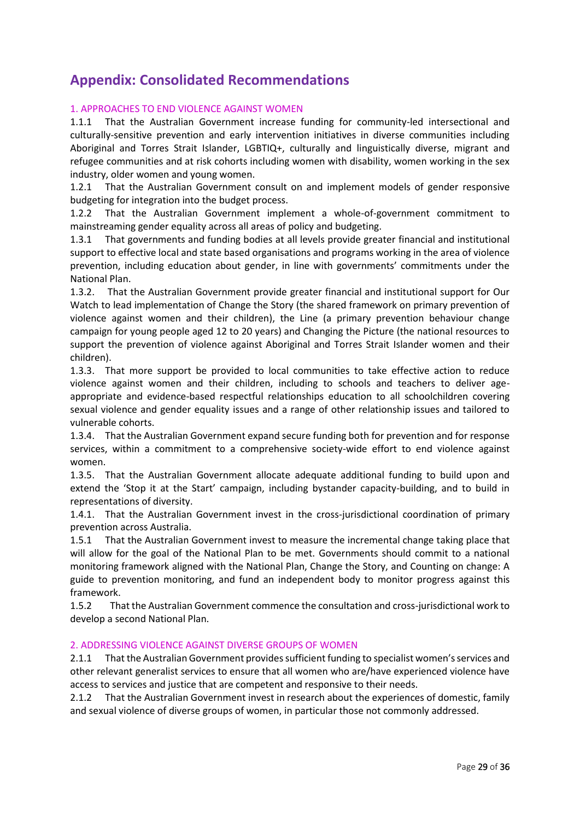# <span id="page-28-0"></span>**Appendix: Consolidated Recommendations**

### 1. APPROACHES TO END VIOLENCE AGAINST WOMEN

1.1.1 That the Australian Government increase funding for community-led intersectional and culturally-sensitive prevention and early intervention initiatives in diverse communities including Aboriginal and Torres Strait Islander, LGBTIQ+, culturally and linguistically diverse, migrant and refugee communities and at risk cohorts including women with disability, women working in the sex industry, older women and young women.

1.2.1 That the Australian Government consult on and implement models of gender responsive budgeting for integration into the budget process.

1.2.2 That the Australian Government implement a whole-of-government commitment to mainstreaming gender equality across all areas of policy and budgeting.

1.3.1 That governments and funding bodies at all levels provide greater financial and institutional support to effective local and state based organisations and programs working in the area of violence prevention, including education about gender, in line with governments' commitments under the National Plan.

1.3.2. That the Australian Government provide greater financial and institutional support for Our Watch to lead implementation of Change the Story (the shared framework on primary prevention of violence against women and their children), the Line (a primary prevention behaviour change campaign for young people aged 12 to 20 years) and Changing the Picture (the national resources to support the prevention of violence against Aboriginal and Torres Strait Islander women and their children).

1.3.3. That more support be provided to local communities to take effective action to reduce violence against women and their children, including to schools and teachers to deliver ageappropriate and evidence-based respectful relationships education to all schoolchildren covering sexual violence and gender equality issues and a range of other relationship issues and tailored to vulnerable cohorts.

1.3.4. That the Australian Government expand secure funding both for prevention and for response services, within a commitment to a comprehensive society-wide effort to end violence against women.

1.3.5. That the Australian Government allocate adequate additional funding to build upon and extend the 'Stop it at the Start' campaign, including bystander capacity-building, and to build in representations of diversity.

1.4.1. That the Australian Government invest in the cross-jurisdictional coordination of primary prevention across Australia.

1.5.1 That the Australian Government invest to measure the incremental change taking place that will allow for the goal of the National Plan to be met. Governments should commit to a national monitoring framework aligned with the National Plan, Change the Story, and Counting on change: A guide to prevention monitoring, and fund an independent body to monitor progress against this framework.

1.5.2 That the Australian Government commence the consultation and cross-jurisdictional work to develop a second National Plan.

### 2. ADDRESSING VIOLENCE AGAINST DIVERSE GROUPS OF WOMEN

2.1.1 That the Australian Government provides sufficient funding to specialist women's services and other relevant generalist services to ensure that all women who are/have experienced violence have access to services and justice that are competent and responsive to their needs.

2.1.2 That the Australian Government invest in research about the experiences of domestic, family and sexual violence of diverse groups of women, in particular those not commonly addressed.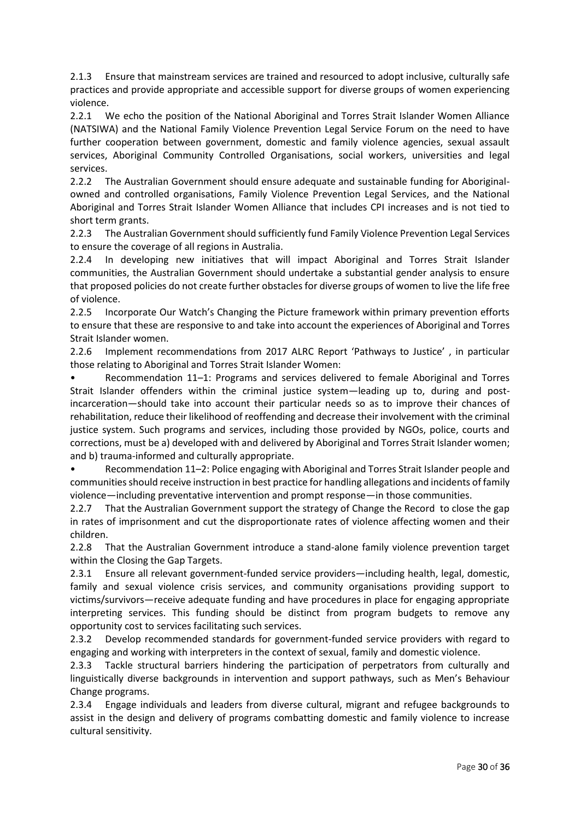2.1.3 Ensure that mainstream services are trained and resourced to adopt inclusive, culturally safe practices and provide appropriate and accessible support for diverse groups of women experiencing violence.

2.2.1 We echo the position of the National Aboriginal and Torres Strait Islander Women Alliance (NATSIWA) and the National Family Violence Prevention Legal Service Forum on the need to have further cooperation between government, domestic and family violence agencies, sexual assault services, Aboriginal Community Controlled Organisations, social workers, universities and legal services.

2.2.2 The Australian Government should ensure adequate and sustainable funding for Aboriginalowned and controlled organisations, Family Violence Prevention Legal Services, and the National Aboriginal and Torres Strait Islander Women Alliance that includes CPI increases and is not tied to short term grants.

2.2.3 The Australian Government should sufficiently fund Family Violence Prevention Legal Services to ensure the coverage of all regions in Australia.

2.2.4 In developing new initiatives that will impact Aboriginal and Torres Strait Islander communities, the Australian Government should undertake a substantial gender analysis to ensure that proposed policies do not create further obstacles for diverse groups of women to live the life free of violence.

2.2.5 Incorporate Our Watch's Changing the Picture framework within primary prevention efforts to ensure that these are responsive to and take into account the experiences of Aboriginal and Torres Strait Islander women.

2.2.6 Implement recommendations from 2017 ALRC Report 'Pathways to Justice' , in particular those relating to Aboriginal and Torres Strait Islander Women:

• Recommendation 11–1: Programs and services delivered to female Aboriginal and Torres Strait Islander offenders within the criminal justice system—leading up to, during and postincarceration—should take into account their particular needs so as to improve their chances of rehabilitation, reduce their likelihood of reoffending and decrease their involvement with the criminal justice system. Such programs and services, including those provided by NGOs, police, courts and corrections, must be a) developed with and delivered by Aboriginal and Torres Strait Islander women; and b) trauma-informed and culturally appropriate.

• Recommendation 11–2: Police engaging with Aboriginal and Torres Strait Islander people and communities should receive instruction in best practice for handling allegations and incidents of family violence—including preventative intervention and prompt response—in those communities.

2.2.7 That the Australian Government support the strategy of Change the Record to close the gap in rates of imprisonment and cut the disproportionate rates of violence affecting women and their children.

2.2.8 That the Australian Government introduce a stand-alone family violence prevention target within the Closing the Gap Targets.

2.3.1 Ensure all relevant government-funded service providers—including health, legal, domestic, family and sexual violence crisis services, and community organisations providing support to victims/survivors—receive adequate funding and have procedures in place for engaging appropriate interpreting services. This funding should be distinct from program budgets to remove any opportunity cost to services facilitating such services.

2.3.2 Develop recommended standards for government-funded service providers with regard to engaging and working with interpreters in the context of sexual, family and domestic violence.

2.3.3 Tackle structural barriers hindering the participation of perpetrators from culturally and linguistically diverse backgrounds in intervention and support pathways, such as Men's Behaviour Change programs.

2.3.4 Engage individuals and leaders from diverse cultural, migrant and refugee backgrounds to assist in the design and delivery of programs combatting domestic and family violence to increase cultural sensitivity.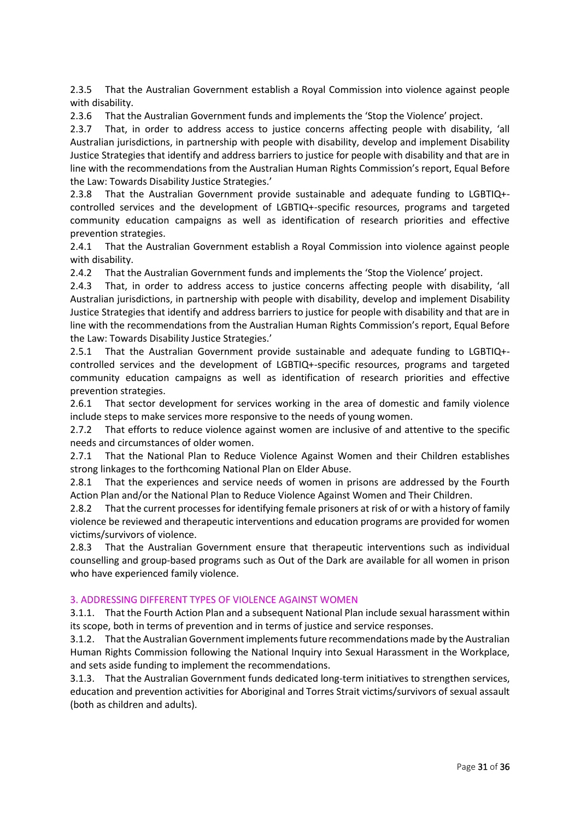2.3.5 That the Australian Government establish a Royal Commission into violence against people with disability.

2.3.6 That the Australian Government funds and implements the 'Stop the Violence' project.

2.3.7 That, in order to address access to justice concerns affecting people with disability, 'all Australian jurisdictions, in partnership with people with disability, develop and implement Disability Justice Strategies that identify and address barriers to justice for people with disability and that are in line with the recommendations from the Australian Human Rights Commission's report, Equal Before the Law: Towards Disability Justice Strategies.'

2.3.8 That the Australian Government provide sustainable and adequate funding to LGBTIQ+ controlled services and the development of LGBTIQ+-specific resources, programs and targeted community education campaigns as well as identification of research priorities and effective prevention strategies.

2.4.1 That the Australian Government establish a Royal Commission into violence against people with disability.

2.4.2 That the Australian Government funds and implements the 'Stop the Violence' project.

2.4.3 That, in order to address access to justice concerns affecting people with disability, 'all Australian jurisdictions, in partnership with people with disability, develop and implement Disability Justice Strategies that identify and address barriers to justice for people with disability and that are in line with the recommendations from the Australian Human Rights Commission's report, Equal Before the Law: Towards Disability Justice Strategies.'

2.5.1 That the Australian Government provide sustainable and adequate funding to LGBTIQ+ controlled services and the development of LGBTIQ+-specific resources, programs and targeted community education campaigns as well as identification of research priorities and effective prevention strategies.

2.6.1 That sector development for services working in the area of domestic and family violence include steps to make services more responsive to the needs of young women.

2.7.2 That efforts to reduce violence against women are inclusive of and attentive to the specific needs and circumstances of older women.

2.7.1 That the National Plan to Reduce Violence Against Women and their Children establishes strong linkages to the forthcoming National Plan on Elder Abuse.

2.8.1 That the experiences and service needs of women in prisons are addressed by the Fourth Action Plan and/or the National Plan to Reduce Violence Against Women and Their Children.

2.8.2 That the current processes for identifying female prisoners at risk of or with a history of family violence be reviewed and therapeutic interventions and education programs are provided for women victims/survivors of violence.

2.8.3 That the Australian Government ensure that therapeutic interventions such as individual counselling and group-based programs such as Out of the Dark are available for all women in prison who have experienced family violence.

### 3. ADDRESSING DIFFERENT TYPES OF VIOLENCE AGAINST WOMEN

3.1.1. That the Fourth Action Plan and a subsequent National Plan include sexual harassment within its scope, both in terms of prevention and in terms of justice and service responses.

3.1.2. That the Australian Government implements future recommendations made by the Australian Human Rights Commission following the National Inquiry into Sexual Harassment in the Workplace, and sets aside funding to implement the recommendations.

3.1.3. That the Australian Government funds dedicated long-term initiatives to strengthen services, education and prevention activities for Aboriginal and Torres Strait victims/survivors of sexual assault (both as children and adults).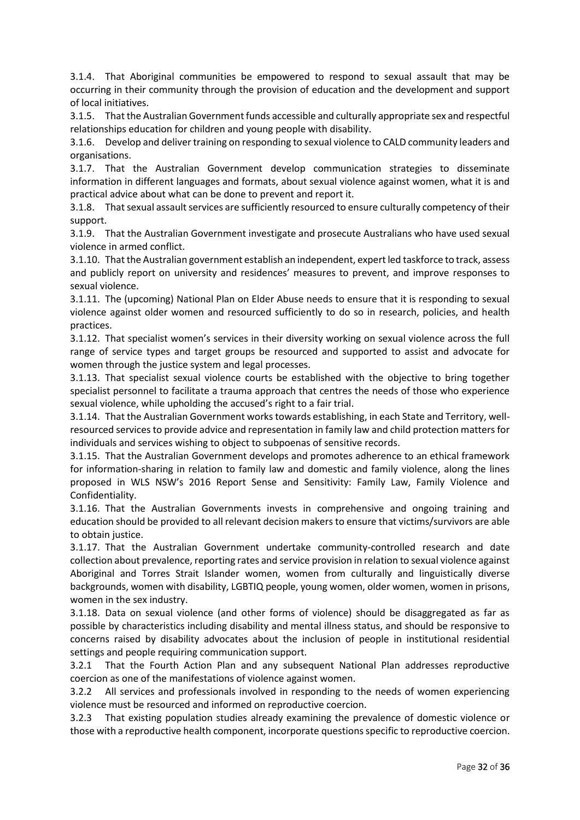3.1.4. That Aboriginal communities be empowered to respond to sexual assault that may be occurring in their community through the provision of education and the development and support of local initiatives.

3.1.5. That the Australian Government funds accessible and culturally appropriate sex and respectful relationships education for children and young people with disability.

3.1.6. Develop and deliver training on responding to sexual violence to CALD community leaders and organisations.

3.1.7. That the Australian Government develop communication strategies to disseminate information in different languages and formats, about sexual violence against women, what it is and practical advice about what can be done to prevent and report it.

3.1.8. That sexual assault services are sufficiently resourced to ensure culturally competency of their support.

3.1.9. That the Australian Government investigate and prosecute Australians who have used sexual violence in armed conflict.

3.1.10. That the Australian government establish an independent, expert led taskforce to track, assess and publicly report on university and residences' measures to prevent, and improve responses to sexual violence.

3.1.11. The (upcoming) National Plan on Elder Abuse needs to ensure that it is responding to sexual violence against older women and resourced sufficiently to do so in research, policies, and health practices.

3.1.12. That specialist women's services in their diversity working on sexual violence across the full range of service types and target groups be resourced and supported to assist and advocate for women through the justice system and legal processes.

3.1.13. That specialist sexual violence courts be established with the objective to bring together specialist personnel to facilitate a trauma approach that centres the needs of those who experience sexual violence, while upholding the accused's right to a fair trial.

3.1.14. That the Australian Government works towards establishing, in each State and Territory, wellresourced services to provide advice and representation in family law and child protection matters for individuals and services wishing to object to subpoenas of sensitive records.

3.1.15. That the Australian Government develops and promotes adherence to an ethical framework for information-sharing in relation to family law and domestic and family violence, along the lines proposed in WLS NSW's 2016 Report Sense and Sensitivity: Family Law, Family Violence and Confidentiality.

3.1.16. That the Australian Governments invests in comprehensive and ongoing training and education should be provided to all relevant decision makers to ensure that victims/survivors are able to obtain justice.

3.1.17. That the Australian Government undertake community-controlled research and date collection about prevalence, reporting rates and service provision in relation to sexual violence against Aboriginal and Torres Strait Islander women, women from culturally and linguistically diverse backgrounds, women with disability, LGBTIQ people, young women, older women, women in prisons, women in the sex industry.

3.1.18. Data on sexual violence (and other forms of violence) should be disaggregated as far as possible by characteristics including disability and mental illness status, and should be responsive to concerns raised by disability advocates about the inclusion of people in institutional residential settings and people requiring communication support.

3.2.1 That the Fourth Action Plan and any subsequent National Plan addresses reproductive coercion as one of the manifestations of violence against women.

3.2.2 All services and professionals involved in responding to the needs of women experiencing violence must be resourced and informed on reproductive coercion.

3.2.3 That existing population studies already examining the prevalence of domestic violence or those with a reproductive health component, incorporate questions specific to reproductive coercion.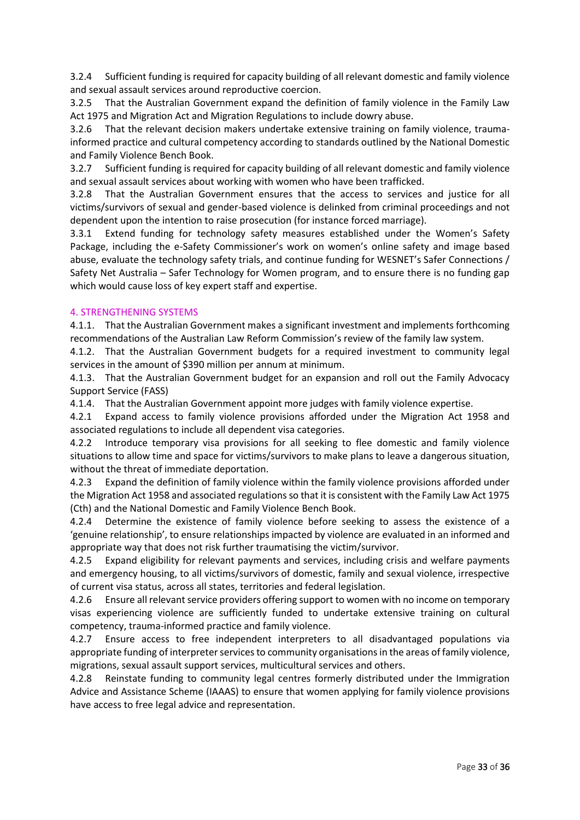3.2.4 Sufficient funding is required for capacity building of all relevant domestic and family violence and sexual assault services around reproductive coercion.

3.2.5 That the Australian Government expand the definition of family violence in the Family Law Act 1975 and Migration Act and Migration Regulations to include dowry abuse.

3.2.6 That the relevant decision makers undertake extensive training on family violence, traumainformed practice and cultural competency according to standards outlined by the National Domestic and Family Violence Bench Book.

3.2.7 Sufficient funding is required for capacity building of all relevant domestic and family violence and sexual assault services about working with women who have been trafficked.

3.2.8 That the Australian Government ensures that the access to services and justice for all victims/survivors of sexual and gender-based violence is delinked from criminal proceedings and not dependent upon the intention to raise prosecution (for instance forced marriage).

3.3.1 Extend funding for technology safety measures established under the Women's Safety Package, including the e-Safety Commissioner's work on women's online safety and image based abuse, evaluate the technology safety trials, and continue funding for WESNET's Safer Connections / Safety Net Australia – Safer Technology for Women program, and to ensure there is no funding gap which would cause loss of key expert staff and expertise.

### 4. STRENGTHENING SYSTEMS

4.1.1. That the Australian Government makes a significant investment and implements forthcoming recommendations of the Australian Law Reform Commission's review of the family law system.

4.1.2. That the Australian Government budgets for a required investment to community legal services in the amount of \$390 million per annum at minimum.

4.1.3. That the Australian Government budget for an expansion and roll out the Family Advocacy Support Service (FASS)

4.1.4. That the Australian Government appoint more judges with family violence expertise.

4.2.1 Expand access to family violence provisions afforded under the Migration Act 1958 and associated regulations to include all dependent visa categories.

4.2.2 Introduce temporary visa provisions for all seeking to flee domestic and family violence situations to allow time and space for victims/survivors to make plans to leave a dangerous situation, without the threat of immediate deportation.

4.2.3 Expand the definition of family violence within the family violence provisions afforded under the Migration Act 1958 and associated regulations so that it is consistent with the Family Law Act 1975 (Cth) and the National Domestic and Family Violence Bench Book.

4.2.4 Determine the existence of family violence before seeking to assess the existence of a 'genuine relationship', to ensure relationships impacted by violence are evaluated in an informed and appropriate way that does not risk further traumatising the victim/survivor.

4.2.5 Expand eligibility for relevant payments and services, including crisis and welfare payments and emergency housing, to all victims/survivors of domestic, family and sexual violence, irrespective of current visa status, across all states, territories and federal legislation.

4.2.6 Ensure all relevant service providers offering support to women with no income on temporary visas experiencing violence are sufficiently funded to undertake extensive training on cultural competency, trauma-informed practice and family violence.

4.2.7 Ensure access to free independent interpreters to all disadvantaged populations via appropriate funding of interpreter services to community organisations in the areas of family violence, migrations, sexual assault support services, multicultural services and others.

4.2.8 Reinstate funding to community legal centres formerly distributed under the Immigration Advice and Assistance Scheme (IAAAS) to ensure that women applying for family violence provisions have access to free legal advice and representation.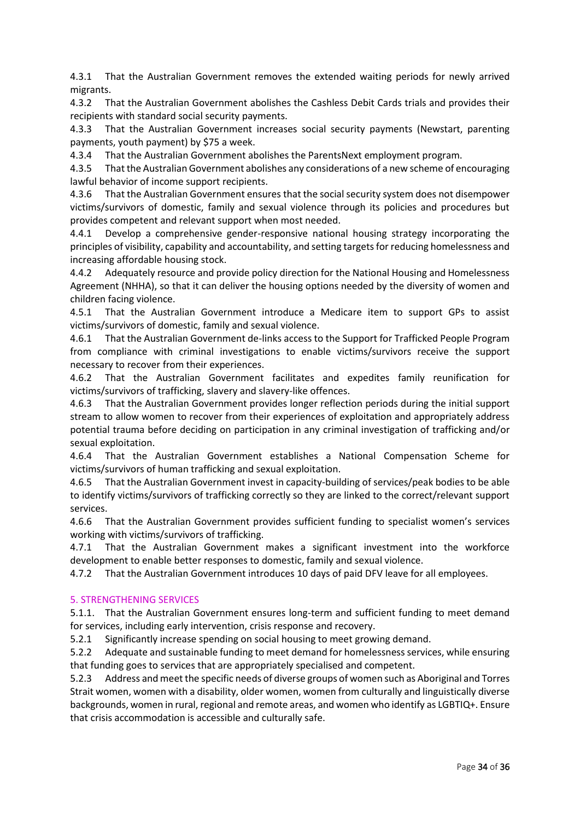4.3.1 That the Australian Government removes the extended waiting periods for newly arrived migrants.

4.3.2 That the Australian Government abolishes the Cashless Debit Cards trials and provides their recipients with standard social security payments.

4.3.3 That the Australian Government increases social security payments (Newstart, parenting payments, youth payment) by \$75 a week.

4.3.4 That the Australian Government abolishes the ParentsNext employment program.

4.3.5 That the Australian Government abolishes any considerations of a new scheme of encouraging lawful behavior of income support recipients.

4.3.6 That the Australian Government ensures that the social security system does not disempower victims/survivors of domestic, family and sexual violence through its policies and procedures but provides competent and relevant support when most needed.

4.4.1 Develop a comprehensive gender-responsive national housing strategy incorporating the principles of visibility, capability and accountability, and setting targets for reducing homelessness and increasing affordable housing stock.

4.4.2 Adequately resource and provide policy direction for the National Housing and Homelessness Agreement (NHHA), so that it can deliver the housing options needed by the diversity of women and children facing violence.

4.5.1 That the Australian Government introduce a Medicare item to support GPs to assist victims/survivors of domestic, family and sexual violence.

4.6.1 That the Australian Government de-links access to the Support for Trafficked People Program from compliance with criminal investigations to enable victims/survivors receive the support necessary to recover from their experiences.

4.6.2 That the Australian Government facilitates and expedites family reunification for victims/survivors of trafficking, slavery and slavery-like offences.

4.6.3 That the Australian Government provides longer reflection periods during the initial support stream to allow women to recover from their experiences of exploitation and appropriately address potential trauma before deciding on participation in any criminal investigation of trafficking and/or sexual exploitation.

4.6.4 That the Australian Government establishes a National Compensation Scheme for victims/survivors of human trafficking and sexual exploitation.

4.6.5 That the Australian Government invest in capacity-building of services/peak bodies to be able to identify victims/survivors of trafficking correctly so they are linked to the correct/relevant support services.

4.6.6 That the Australian Government provides sufficient funding to specialist women's services working with victims/survivors of trafficking.

4.7.1 That the Australian Government makes a significant investment into the workforce development to enable better responses to domestic, family and sexual violence.

4.7.2 That the Australian Government introduces 10 days of paid DFV leave for all employees.

### 5. STRENGTHENING SERVICES

5.1.1. That the Australian Government ensures long-term and sufficient funding to meet demand for services, including early intervention, crisis response and recovery.

5.2.1 Significantly increase spending on social housing to meet growing demand.

5.2.2 Adequate and sustainable funding to meet demand for homelessness services, while ensuring that funding goes to services that are appropriately specialised and competent.

5.2.3 Address and meet the specific needs of diverse groups of women such as Aboriginal and Torres Strait women, women with a disability, older women, women from culturally and linguistically diverse backgrounds, women in rural, regional and remote areas, and women who identify as LGBTIQ+. Ensure that crisis accommodation is accessible and culturally safe.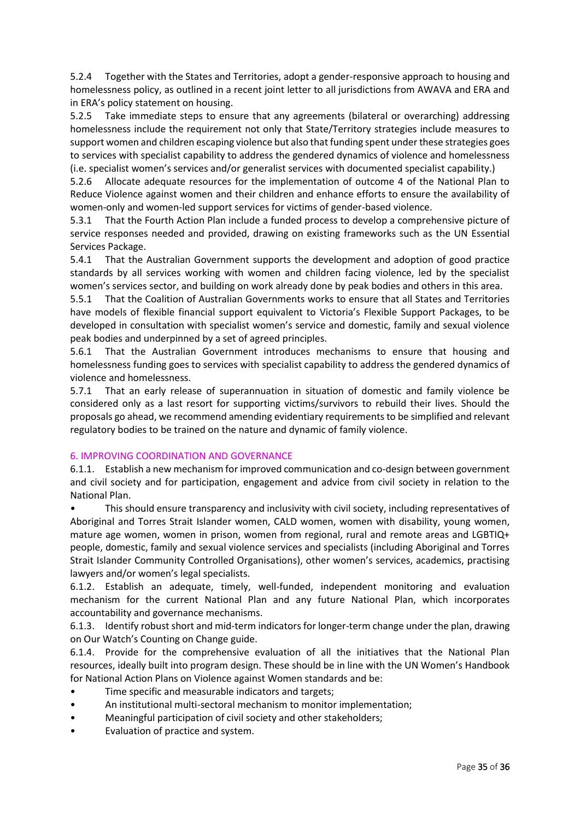5.2.4 Together with the States and Territories, adopt a gender-responsive approach to housing and homelessness policy, as outlined in a recent joint letter to all jurisdictions from AWAVA and ERA and in ERA's policy statement on housing.

5.2.5 Take immediate steps to ensure that any agreements (bilateral or overarching) addressing homelessness include the requirement not only that State/Territory strategies include measures to support women and children escaping violence but also that funding spent under these strategies goes to services with specialist capability to address the gendered dynamics of violence and homelessness (i.e. specialist women's services and/or generalist services with documented specialist capability.)

5.2.6 Allocate adequate resources for the implementation of outcome 4 of the National Plan to Reduce Violence against women and their children and enhance efforts to ensure the availability of women-only and women-led support services for victims of gender-based violence.

5.3.1 That the Fourth Action Plan include a funded process to develop a comprehensive picture of service responses needed and provided, drawing on existing frameworks such as the UN Essential Services Package.

5.4.1 That the Australian Government supports the development and adoption of good practice standards by all services working with women and children facing violence, led by the specialist women's services sector, and building on work already done by peak bodies and others in this area.

5.5.1 That the Coalition of Australian Governments works to ensure that all States and Territories have models of flexible financial support equivalent to Victoria's Flexible Support Packages, to be developed in consultation with specialist women's service and domestic, family and sexual violence peak bodies and underpinned by a set of agreed principles.

5.6.1 That the Australian Government introduces mechanisms to ensure that housing and homelessness funding goes to services with specialist capability to address the gendered dynamics of violence and homelessness.

5.7.1 That an early release of superannuation in situation of domestic and family violence be considered only as a last resort for supporting victims/survivors to rebuild their lives. Should the proposals go ahead, we recommend amending evidentiary requirements to be simplified and relevant regulatory bodies to be trained on the nature and dynamic of family violence.

### 6. IMPROVING COORDINATION AND GOVERNANCE

6.1.1. Establish a new mechanism for improved communication and co-design between government and civil society and for participation, engagement and advice from civil society in relation to the National Plan.

• This should ensure transparency and inclusivity with civil society, including representatives of Aboriginal and Torres Strait Islander women, CALD women, women with disability, young women, mature age women, women in prison, women from regional, rural and remote areas and LGBTIQ+ people, domestic, family and sexual violence services and specialists (including Aboriginal and Torres Strait Islander Community Controlled Organisations), other women's services, academics, practising lawyers and/or women's legal specialists.

6.1.2. Establish an adequate, timely, well-funded, independent monitoring and evaluation mechanism for the current National Plan and any future National Plan, which incorporates accountability and governance mechanisms.

6.1.3. Identify robust short and mid-term indicators for longer-term change under the plan, drawing on Our Watch's Counting on Change guide.

6.1.4. Provide for the comprehensive evaluation of all the initiatives that the National Plan resources, ideally built into program design. These should be in line with the UN Women's Handbook for National Action Plans on Violence against Women standards and be:

- Time specific and measurable indicators and targets;
- An institutional multi-sectoral mechanism to monitor implementation;
- Meaningful participation of civil society and other stakeholders;
- Evaluation of practice and system.